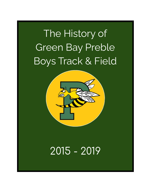## The History of Green Bay Preble Boys Track & Field



## 2015 - 2019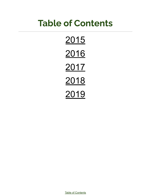## <span id="page-1-0"></span>**Table of Contents**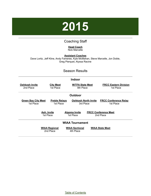# **2015**

#### Coaching Staff

#### **Head Coach**

Nick Marcelle

<span id="page-2-0"></span>**Assistant Coaches** Dave Loritz, Jeff Kline, Andy Fameree, Kyle McMahan, Steve Marcelle, Jon Doble, Greg Pierquet, Alyssa Racine

#### Season Results

| <b>Indoor</b>                                                                                                    |                                   |                                          |                                           |
|------------------------------------------------------------------------------------------------------------------|-----------------------------------|------------------------------------------|-------------------------------------------|
| <b>Oshkosh Invite</b><br>2nd Place                                                                               | <b>City Meet</b><br>1st Place     | <b>W/TFA State Meet</b><br>8th Place     | <b>FRCC Eastern Division</b><br>1st Place |
|                                                                                                                  |                                   | <b>Outdoor</b>                           |                                           |
| <b>Green Bay City Meet</b><br>1st Place                                                                          | <b>Preble Relays</b><br>1st Place | <b>Oshkosh North Invite</b><br>3rd Place | <b>FRCC Conference Relay</b><br>1st Place |
| <b>FRCC Conference Meet</b><br><b>Ash. Invite</b><br><b>Algoma Invite</b><br>1st Place<br>1st Place<br>2nd Place |                                   |                                          |                                           |
| <b>WIAA Tournament</b>                                                                                           |                                   |                                          |                                           |
|                                                                                                                  | <b>WIAA Regional</b><br>2nd Place | <b>WIAA Sectional</b><br>4th Place       | <b>WIAA State Meet</b>                    |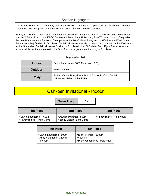#### Season Highlights

The Preble Men's Team had a very successful season gathering 7 first place and 3 second place finishes. They finished in 8th place at the Indoor State Meet and won both Relay Meets.

Randy Bialcik won a conference championship in the Pole Vault and Daniel La Luzerne won both the 800 and 1600 Meter Runs in the FRCC Conference Meet. Andy Holzmann, Sam Wouters, Lake LaChappelle, DeJuan Plummer were Sectional Champions in the 4x800 Meter Relay and qualified for the WIAA State Meet where they finished in 5th place. Daniel LaLuzerne was also a Sectional Champion in the 800 Meters. At the State Meet Daniel LaLuzerne finished in 3rd place in the 800 Meter Run. Ryan Ray, who was an extra qualifier for the state meet in the Shot Put, had a great meet finishing in 3rd place.

#### Records Set

| <b>Indoor</b>  | Daniel LaLuzerne - 1600 Meters (4:19.80)                                                 |  |
|----------------|------------------------------------------------------------------------------------------|--|
| <b>Outdoor</b> | No records set                                                                           |  |
| <b>Relay</b>   | Eathan VandenPlas, Gavin Buergi, Tanner Duffney, Daniel<br>LaLuzerne - Mile Medley Relay |  |

## Oshkosh Invitational - Indoor

| <b>1st Place</b>                                          | 2nd Place                                            | 3rd Place                   |
|-----------------------------------------------------------|------------------------------------------------------|-----------------------------|
| >Danial LaLuzerne - 1600m<br>>Randy Bialcik - Triple Jump | >DeJuan Plummer - 800m<br>>Randy Bialcik - Long Jump | >Randy Bialcik - Pole Vault |

| 4th Place                | <b>5th Place</b>                |
|--------------------------|---------------------------------|
| >Danial LaLuzerne - 800m | >Nick Peterson - 3200m          |
| >Andy Holzmann - 3200m   | >4x200m                         |
| >4x400m                  | >Riley Vanden Plas - Pole Vault |

Table of [Contents](#page-1-0)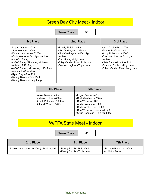## Green Bay City Meet - Indoor

**Team Place** 1st

| <b>1st Place</b>                                                                                                                                                                                                                                                                                                                              | 2nd Place                                                                                                                                                                                      | 3rd Place                                                                                                                                                                                                                |
|-----------------------------------------------------------------------------------------------------------------------------------------------------------------------------------------------------------------------------------------------------------------------------------------------------------------------------------------------|------------------------------------------------------------------------------------------------------------------------------------------------------------------------------------------------|--------------------------------------------------------------------------------------------------------------------------------------------------------------------------------------------------------------------------|
| >Logan Gerow - 200m<br>>Sam Wouters - 800m<br>>Danial LaLuzerne - 3200m<br>>Colin Wanek - 45m High Hurdles<br>>4x160m Relay<br>>4x800 Relay (Plummer, M. Lukas,<br>Weltzien, T. Duffney)<br>>4x800 Relay (LaLuzerne, L. Duffney,<br>Wouters, LaChapelle)<br>>Ryan Ray - Shot Put<br>>Randy Bialcik - Pole Vault<br>>Randy Bialcik - Long Jump | >Randy Bialcik - 45m<br>>Nick Verheyden - 3200m<br>>Noah Verheyden - 45m High<br><b>Hurdles</b><br>>Ben Hurley - High Jump<br>>Riley Vanden Plas - Pole Vault<br>>Darrion Hughes - Triple Jump | >Josh Coulombe - 200m<br>>Tanner Duffney - 400m<br>>Andy Holzmann - 1600m<br>>Brett Westlund - 45m High<br><b>Hurdles</b><br>>Nate Samorski - Shot Put<br>>Branden Endlich - High Jump<br>>Ethan Vanden Plas - Long Jump |

| <b>4th Place</b>                                                                             | <b>5th Place</b>                                                                                                                                                                                  |
|----------------------------------------------------------------------------------------------|---------------------------------------------------------------------------------------------------------------------------------------------------------------------------------------------------|
| ->ake Berken - 45m<br>>Mason Lukas - 400m<br>>Nick Peterson - 1600m<br>>Jared Weiler - 3200m | >Logan Gerow - 45m<br>>Brett Westlund - 200m<br>>Ben Weltzien - 400m<br>>Andy Holzmann - 800m<br>>DeJuan Plummer - 1600m<br>>Ben Weltzien - Pole Vault (tie)<br>>Chris Ronsman - Pole Vault (tie) |

#### W/TFA State Meet - Indoor

**Team Place** 8th

| 2nd Place                                 | <b>6th Place</b>                                             | <b>7th Place</b>                        |
|-------------------------------------------|--------------------------------------------------------------|-----------------------------------------|
| >Daniel LaLuzerne - 1600m (school record) | > Randy Bialcik - Pole Vault<br>>Randy Bialcik - Triple Jump | >DeJuan Plummer - 800m<br>>4x400m Relay |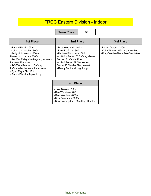#### FRCC Eastern Division - Indoor

**Team Place** 1st

| <b>1st Place</b>                                                                                                                                                                                                                                                                          | 2nd Place                                                                                                                                                                                                                            | 3rd Place                                                                                      |
|-------------------------------------------------------------------------------------------------------------------------------------------------------------------------------------------------------------------------------------------------------------------------------------------|--------------------------------------------------------------------------------------------------------------------------------------------------------------------------------------------------------------------------------------|------------------------------------------------------------------------------------------------|
| >Randy Bialxik - 55m<br>>Lake La Chapelle - 800m<br>>Andy Holzmann - 1600m<br>Daniel LaLuzerne - 3200m<br>>4x400m Relay - Verheyden, Wouters,<br>Lemens, Plummer<br>>4x3200m Relay - L. Duffney,<br>LaChapelle, Lemens, LaLuzerne<br>>Ryan Ray - Shot Put<br>>Randy Bialick - Triple Jump | >Brett Weslund - 400m<br>>Luke Duffney - 800m<br>>DeJuan Plummer - 1600m<br>>4x160m Relay - T. Duffney, Gerow,<br>Berken, E. VandenPlas<br>>4x240 Relay - N. Verheyden,<br>Gerow, E. VandenPlas, Wanek<br>>Randy Bialick - Long Jump | >Logan Gerow - 200m<br>>Colin Wanek - 55m High Hurdles<br>>Riley VandenPlas - Pole Vault (tie) |

#### **4th Place**

>Jake Berken - 55m >Ben Weltzien - 400m >Sam Wouters - 800m >Nick Peterson - 3200m >Noah Verheyden - 55m High Hurdles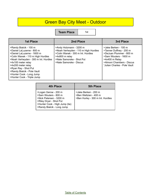## Green Bay City Meet - Outdoor

**Team Place** 1st

| <b>1st Place</b>                                                                                                                                                                                                                                                                                                            | 2nd Place                                                                                                                                                                      | 3rd Place                                                                                                                                                                                         |
|-----------------------------------------------------------------------------------------------------------------------------------------------------------------------------------------------------------------------------------------------------------------------------------------------------------------------------|--------------------------------------------------------------------------------------------------------------------------------------------------------------------------------|---------------------------------------------------------------------------------------------------------------------------------------------------------------------------------------------------|
| >Randy Bialcik - 100 m<br>>Daniel LaLuzerne - 800 m<br>>Daniel LaLuzerne - 1600 m<br>>Colin Wanek - 110 m High Hurdles<br>>Noah Verheyden - 300 m Int. Hurdles<br>>4x100 meter relay<br>>4x200 meter relay<br>>Ryan Ray - Shot Put<br>>Randy Bialcik - Pole Vault<br>>Hunter Cook - Long Jump<br>>Hunter Cook - Triple Jump | >Andy Holzmann - 3200 m<br>>Noah Verheyden - 110 m High Hurdles<br>>Colin Wanek - 300 m Int. Hurdles<br>>4x800 m relay<br>>Nate Samorske - Shot Put<br>>Nate Samorske - Discus | >Jake Berken - 100 m<br>>Tanner Duffney - 200 m<br>>DeJuan Plummer - 800 m<br>>Sam Wouters - 1600 m<br>>4x400 m Relay<br>>Almoni Chambers - Discus<br><sup>&gt;</sup> Julian Charles - Pole Vault |

| 4th Place                                                                                                                                                          | <b>5th Place</b>                                                                  |
|--------------------------------------------------------------------------------------------------------------------------------------------------------------------|-----------------------------------------------------------------------------------|
| >Logan Gerow - 200 m<br>>Sam Wouters - 800 m<br>>Nick Petersen - 3200 m<br>>Riley Dryer - Shot Put<br>>Hunter Cook - High Jump (tie)<br>>Randy Bialcik - Long Jump | >Jake Berken - 200 m<br>>Ben Weltzien - 400 m<br>>Ben Hurley - 300 m Int. Hurdles |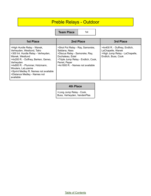## Preble Relays - Outdoor

**Team Place** 1st

| <b>1st Place</b>                                                                                                                                                                                                                                                                                                      | 2nd Place                                                                                                                                                                                           | 3rd Place                                                                                                   |
|-----------------------------------------------------------------------------------------------------------------------------------------------------------------------------------------------------------------------------------------------------------------------------------------------------------------------|-----------------------------------------------------------------------------------------------------------------------------------------------------------------------------------------------------|-------------------------------------------------------------------------------------------------------------|
| >High Hurdle Relay - Wanek,<br>Verheyden, Westlund, Tatro<br>>300 Int. Hurdle Relay - Verheyden,<br>Wanek, Westlund<br>>4x200 R. - Duffney, Berken, Gerwo,<br>Verheyden<br>>4x800 R. - Plummer, Holzmann,<br>Wouters, LaLuzerne<br>>Sprint Medley R. Names not available<br>>Distance Medley - Names not<br>available | >Shot Put Relay - Ray, Samorske,<br>Saldana, Nass<br>>Discus Relay - Samorske, Ray,<br>Duchateau, Estel<br>>Triple Jump Relay - Endlich, Cook,<br>Perret, Peper<br>>4x1600 R. - Names not available | >4x400 R. - Duffney, Endlich,<br>LaChapelle, Wanek<br>>High Jump Relay - LaChapelle,<br>Endlich, Buss, Cook |

#### **4th Place**

>Long Jump Relay - Cook, Buss, Verheyden, VandenPlas

Table of [Contents](#page-1-0)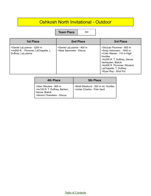## Oshkosh North Invitational - Outdoor

**Team Place** 3rd

| <b>1st Place</b>                                                                        | 2nd Place                                            | 3rd Place                                                                                                                                                                                                                                |
|-----------------------------------------------------------------------------------------|------------------------------------------------------|------------------------------------------------------------------------------------------------------------------------------------------------------------------------------------------------------------------------------------------|
| >Daniel LaLuzerne - 3200 m<br>>4x800 R. - Plummer, LaChapelle, L.<br>Duffney, LaLuzerne | >Daniel LaLuzerne - 400 m<br>>Nate Samorske - Discus | >DeJuan Plummer - 800 m<br>>Andy Holzmann - 1600 m<br>>Colin Wanek - 110 m High<br><b>Hurdles</b><br>>4x200 R. T. Duffney, Gerow,<br>Verheyden, Bialcik<br>>4x400 R. Plummer, Wouters,<br>LaChapelle, T. Duffney<br>>Ryan Ray - Shot Put |

| 4th Place                                                                                            | <b>5th Place</b>                                                     |
|------------------------------------------------------------------------------------------------------|----------------------------------------------------------------------|
| >Sam Wauters - 800 m<br>>4x100 R. T. Duffney, Berken,<br>Gerow, Bialcik<br>>Almoni Chambers - Discus | >Brett Westlund - 300 m Int. Hurdles<br>>Julian Charles - Pole Vault |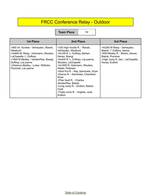## FRCC Conference Relay - Outdoor

**Team Place** 1st

| <b>1st Place</b>                                                                                                                                                                                                                               | 2nd Place                                                                                                                                                                                                                                                                                                                                                                                                                                                | 3rd Place                                                                                                                                                                |
|------------------------------------------------------------------------------------------------------------------------------------------------------------------------------------------------------------------------------------------------|----------------------------------------------------------------------------------------------------------------------------------------------------------------------------------------------------------------------------------------------------------------------------------------------------------------------------------------------------------------------------------------------------------------------------------------------------------|--------------------------------------------------------------------------------------------------------------------------------------------------------------------------|
| >900 Int. Hurdles - Verheyden, Wanek,<br>Westlund<br>>4x800 M. Relay - Holzmann, Wouters,<br>LaChapelle, L. Duffney<br>>1600 M Medley - VandenPlas, Buergi,<br>Duffney, LaLuzerne<br>>Distance Medley - Lukas, Weltzien,<br>Plummer, LaLuzerne | >330 High Hurdle R. - Wanek,<br>Verheyden, Westlund<br>>4x100 R. L. Duffney, Berken,<br>Gerwo, Buergi<br>>4x400 R. L. Duffney, LaLuzerne,<br>Wouters, LaChapelle<br>>4x1600 R. Holzmann, Wouters,<br>Weiler, Petersen<br>>Shot Put R. - Ray, Samorske, Dryer<br>>Discus R. - Samorske, Chambers,<br>Dryer<br>>Pole Vault R. - Charles,<br>VandenPlas, Bialcik<br>>Long Jump R. - Endlich, Bialcik,<br>Cook<br>>Triple Jump R. - Hughes, cook,<br>Endlich | >4x200 M Relay - Verheyden,<br>Bialcik, T. Duffeny, Gerow<br>>800 Medley R. - Berkin, Gerow,<br>Bialcik, Plummer<br>>High Jump R. (tie) - LaChapelle,<br>Hurley, Endlich |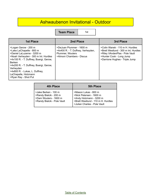## Ashwaubenon Invitational - Outdoor

**Team Place** 1st

| <b>1st Place</b>                                                                                                                                                                                                                                                                                                           | 2nd Place                                                                                                       | 3rd Place                                                                                                                                                               |
|----------------------------------------------------------------------------------------------------------------------------------------------------------------------------------------------------------------------------------------------------------------------------------------------------------------------------|-----------------------------------------------------------------------------------------------------------------|-------------------------------------------------------------------------------------------------------------------------------------------------------------------------|
| >Logan Gerow - 200 m<br>>Lake LaChapelle - 800 m<br>>Daniel LaLuzerne - 3200 m<br>>Noah Verheyden - 300 m Int. Hurdles<br>>4x100 R. - T. Duffney, Buergi, Gerow,<br><b>Berken</b><br>>4x200 R. - T. Duffney, Buergi, Gerow,<br>Verheyden<br>>4x800 R. - Lukas, L. Duffney,<br>LaChapelle, Holzmann<br>>Ryan Ray - Shot Put | >DeJuan Plummer - 1600 m<br>>4x400 R. - T. Duffney, Verheyden,<br>Plummer, Wouters<br>>Almoni Chambers - Discus | >Colin Wanek - 110 m H. Hurdles<br>>Brett Westlund - 300 m Int. Hurdles<br>>Riley VAndenPlas - Pole Vault<br>>Hunter Cook - Long Jump<br>>Darrione Hughes - Triple Jump |

| 4th Place                                                                                              | <b>5th Place</b>                                                                                                                                 |
|--------------------------------------------------------------------------------------------------------|--------------------------------------------------------------------------------------------------------------------------------------------------|
| >Jake Berken - 100 m<br>>Randy Bialcik - 200 m<br>>Dam Wouters - 1600 m<br>>Randy Bialcik - Pole Vault | >Mason Lukas - 800 m<br>>Nick Petersen - 1600 m<br>>Andy Holzmann - 3200 m<br>>Brett Westlund - 110 m H. Hurdles<br>>Julian Charles - Pole Vault |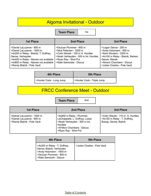## Algoma Invitational - Outdoor

**Team Place** 1st

| <b>1st Place</b>                                                                                                                                                                                                                      | 2nd Place                                                                                                                                                                        | 3rd Place                                                                                                                                                                                 |
|---------------------------------------------------------------------------------------------------------------------------------------------------------------------------------------------------------------------------------------|----------------------------------------------------------------------------------------------------------------------------------------------------------------------------------|-------------------------------------------------------------------------------------------------------------------------------------------------------------------------------------------|
| >Daniel LaLuzerne - 800 m<br>  >Daniel LaLuzerne - 1600 m<br>>4x200 m Relay - Bialcik, T. Duffney,<br>Gerow, Verheyden<br>>4x400 m Relay - Names not available<br>>4x800 m Relay - Names not available<br>>Randy Bialcik - Pole Vault | >DeJuan Plummer - 800 m<br>>Nick Petersen - 3200 m<br>>Colin Wanek - 100 m H. Hurdles<br>>Noah Verheyden - 300 m Int. Hurdles<br>>Ryan Ray - Shot Put<br>>Nate Samorske - Discus | >Logan Gerow - 200 m<br>>Andy Holzmann - 800 m<br>>Sam Wouters - 3200 m<br>>4x100 m Relay - Bialcik, Berken,<br>Gerow, Wanek<br>>Almoni Chambers - Discus<br>>Julian Charles - Pole Vault |

| <b>4th Place</b>         | <b>5th Place</b>           |
|--------------------------|----------------------------|
| >Hunter Cook - Long Jump | >Hunter Cook - Triple Jump |

## FRCC Conference Meet - Outdoor

**Team Place** 2nd

| <b>1st Place</b>                                                                       | 2nd Place                                                                                                                                                           | 3rd Place                                                                                  |
|----------------------------------------------------------------------------------------|---------------------------------------------------------------------------------------------------------------------------------------------------------------------|--------------------------------------------------------------------------------------------|
| >Daniel LaLuzerne - 1600 m<br>>Daniel LaLuzerne - 800 m<br>>Randy Bialcik - Pole Vault | >4x800 m Relay - Plummer,<br>LaChappelle, L. Duffney, Lukas<br>>Noah Verheyden - 300 m Int.<br><b>Hurdles</b><br>>Al'Moni Chambers - Discus<br>>Ryan Ray - Shot Put | >Colin Wanek - 110 m. H. Hurdles<br>>4x100 m Relay - T. Duffney,<br>Buergi, Gerow, Bialcik |

| 4th Place                                                                                                                                  | <b>5th Place</b>             |
|--------------------------------------------------------------------------------------------------------------------------------------------|------------------------------|
| >4x200 m Relay - T. Duffney,<br>Gerow, Bialcik, Verheyden<br>>Andy Holzmann - 1600 m<br>>DeJuan Plummer - 800 m<br>>Nate Samorski - Discus | >Julian Charles - Pole Vault |

Table of [Contents](#page-1-0)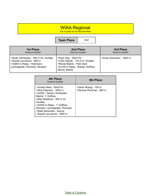#### WIAA Regional

Top 4 qualify for the Sectional Meet

#### **Team Place** 2nd

| <b>1st Place</b><br><b>Sectional Qualifier</b>                                                                                   | 2nd Place<br><b>Sectional Qualifier</b>                                                                                                       | 3rd Place<br><b>Sectional Qualifier</b> |
|----------------------------------------------------------------------------------------------------------------------------------|-----------------------------------------------------------------------------------------------------------------------------------------------|-----------------------------------------|
| >Noah Verheyden - 300 m Int. Hurdles<br>>Daniel LaLuzerne - 800 m<br>>4x800 m Relay - Holzmann,<br>LaChappelle, Plummer, Wouters | >Ryan Ray - Shot Put<br>>Colin Wanek - 110 m H. Hurdles<br>>Randy Bialick - Pole Vault<br>>4x100 m Relay - Buergi, Duffney,<br>Gerow, Bialcik | >Andy Holzmann - 1600 m                 |

| 4th Place<br><b>Sectional Qualifier</b>                                                                                                                                                                                                                                           | 5th Place                                        |
|-----------------------------------------------------------------------------------------------------------------------------------------------------------------------------------------------------------------------------------------------------------------------------------|--------------------------------------------------|
| >Jordan Nass - Shot Put<br>>Nick Petersen - 1600 m<br>>4x200 - Gerow, Verhayden,<br>Bialcik, T. Duffney<br>>Bret Westlund - 300 m Int.<br><b>Hurdles</b><br>>4x400 m Relay - T. Duffney<br>Wouters, LaChappelle, Plummer<br>>Nate Samorske - Discus<br>>Daniel LaLuzerne - 3200 m | >Gavin Buergi - 100 m<br>>DeJuan Plummer - 800 m |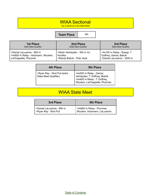## WIAA Sectional

Top 3 advance to the State Meet

#### **Team Place** 4th

| <b>1st Place</b>                    | 2nd Place                    | 3rd Place                   |
|-------------------------------------|------------------------------|-----------------------------|
| State Meet Qualifier                | <b>State Meet Qualifier</b>  | <b>State Meet Qualifier</b> |
| >Daniel LaLuzerne - 800 m           | >Noah Verheyden - 300 m Int. | >4x100 m Relay - Buergi, T. |
| >4x800 m Relay - Holzmann, Wouters, | <b>Hurdles</b>               | Duffney, Gerow, Bialcik     |
| LaChappelle, Plummer                | >Randy Bialcik - Pole Vault  | >Daniel LaLuzerne - 3200 m  |

| 4th Place                                                   | <b>5th Place</b>                                                                                                           |
|-------------------------------------------------------------|----------------------------------------------------------------------------------------------------------------------------|
| >Ryan Ray - Shot Put (extra<br><b>State Meet Qualifier)</b> | >4x200 m Relay - Gerow,<br>Verheyden, T. Duffney, Bialcik<br>>4x400 m Relay - T. Duffney,<br>Wouters, LaChappelle, Plummer |

#### WIAA State Meet

| 3rd Place                                         | <b>5th Place</b>                                          |
|---------------------------------------------------|-----------------------------------------------------------|
| >Daniel LaLuzerne - 800 m<br>>Ryan Ray - Shot Put | >4x800 m Relay - Plummer,<br>Wouters, Holzmann, LaLuzerne |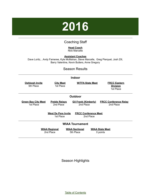# **2016**

#### Coaching Staff

#### **Head Coach**

Nick Marcelle

#### **Assistant Coaches**

<span id="page-14-0"></span>Dave Loritz, , Andy Fameree, Kyle McMahan, Steve Marcelle, Greg Pierquet, Josh Zill, Barry Valentine, Kevin Butters, Anne Gregory

#### Season Results

| <b>Indoor</b>                           |                                   |                                          |                                                     |
|-----------------------------------------|-----------------------------------|------------------------------------------|-----------------------------------------------------|
| <b>Oshkosh Invite</b><br>5th Place      | <u>City Meet</u><br>1st Place     | <b>W/TFA State Meet</b>                  | <b>FRCC Eastern</b><br><b>Division</b><br>1st Place |
| <b>Outdoor</b>                          |                                   |                                          |                                                     |
| <b>Green Bay City Meet</b><br>1st Place | <b>Preble Relays</b><br>2nd Place | <b>Gil Frank (Kimberly)</b><br>2nd Place | <b>FRCC Conference Relay</b><br>2nd Place           |
|                                         | West De Pere Invite<br>1st Place  | <b>FRCC Conference Meet</b><br>2nd Place |                                                     |
| <b>WIAA Tournament</b>                  |                                   |                                          |                                                     |
|                                         | <b>WIAA Regional</b><br>2nd Place | <b>WIAA Sectional</b><br>5th Place       | <b>WIAA State Meet</b><br>0 points                  |

Season Highlights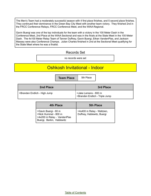The Men's Team had a moderately successful season with 4 first place finishes, and 5 second place finishes. They continued their dominance in the Green Bay City Meet with another team victory. They finished 2nd in the FRCC Conference Relays, FRCC Conference Meet, and the WIAA Regional.

Gavin Buergi was one of the top individuals for the team with a victory in the 100 Meter Dash in the Conference Meet, 2nd Place at the WIAA Sectional and was in the finals at the State Meet in the 100 Meter Dash. The 4x100 Meter Relay Team of Tanner Duffney, Gavin Buergi, Ethan VandenPlas, and Jackson Massey were also Conference Champs. Julian Charles finished in 2nd at the Sectional Meet qualifying for the State Meet where he was a finalist.

#### Records Set

no records were set

#### Oshkosh Invitational - Indoor

**Team Place** 5th Place

| 2nd Place                    | 3rd Place                                              |
|------------------------------|--------------------------------------------------------|
| SBranden Endlich - High Jump | >Jake Lemens - 800 m<br>>Branden Endlich - Triple Jump |

| <b>4th Place</b>                                                                                         | <b>5th Place</b>                                         |
|----------------------------------------------------------------------------------------------------------|----------------------------------------------------------|
| >Gavin Buergi - 60 m<br>>Nick Hummel - 800 m<br>>4x200 m Relay - VandenPlas<br>Buergi, Berkin, Hablewitz | >4x400 m Relay - Waltzien,<br>Duffney, Hablewitz, Buergi |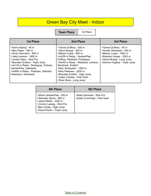## Green Bay City Meet - Indoor

**Team Place** | 1st Place

| <b>1st Place</b>                                                                                                                                                                                                                                                                         | 2nd Place                                                                                                                                                                                                                                                                                                                                            | 3rd Place                                                                                                                                                            |
|------------------------------------------------------------------------------------------------------------------------------------------------------------------------------------------------------------------------------------------------------------------------------------------|------------------------------------------------------------------------------------------------------------------------------------------------------------------------------------------------------------------------------------------------------------------------------------------------------------------------------------------------------|----------------------------------------------------------------------------------------------------------------------------------------------------------------------|
| >Gavin Buergi - 45 m<br>>Ben Peper - 200 m<br>>Andy Holzmann - 800 m<br>>Jake Lemens - 1600 m<br>>Jordan Nass - Shot Put<br>>Branden Endlich - Triple Jump<br>>4x133 m Relay - Rodriguez, Parham,<br>VandenPlas, Hablewitz<br>>4x800 m Relay - Petersen, Weltzien,<br>Holzmann, Wondrash | >Tanner Duffney - 200 m<br>>Gavin Buergi - 400 m<br>>Mason Lukas - 800 m<br>>4x200 m Relay - VandenPlas,<br>Duffney, Westland, Rodriguez<br>>4x400 m Relay - Westland, Lemens,<br>Wondrash, Endlich<br>>Nick Verheyden - 1600 m<br>>Nick Petersen - 3200 m<br>>Branden Endlich - High Jump<br>>Julian Charles - Pole Vault<br>>Ryan Buss - Long Jump | >Tanner Duffney - 45 m<br>>Hunter Wondrash - 400 m<br>>Mason Lukas - 1600 m<br>>Brandon Hoppe - 3200 m<br>>Gavin Buergi - Long Jump<br>>Darrion Hughes - Triple Jump |

| 4th Place                                                                                                                                                              | <b>5th Place</b>                                         |
|------------------------------------------------------------------------------------------------------------------------------------------------------------------------|----------------------------------------------------------|
| >Ethan VandenPlas - 200 m<br>>Salvador Sierra - 800 m<br>>Jared Weiler - 3200 m<br>>Connor Ladwig - Shot Put<br>>Ben Hurley - High Jump<br>>David Perret - Triple Jump | >Nate Samorski - Shot Put<br>>Kade Cummings - Pole Vault |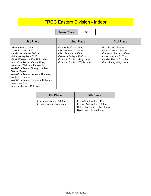## FRCC Eastern Division - Indoor

**Team Place** 1st

| <b>1st Place</b>                                                                                                                                                                                                                                                                                                                                                                                                   | 2nd Place                                                                                                                                                             | 3rd Place                                                                                                                                               |
|--------------------------------------------------------------------------------------------------------------------------------------------------------------------------------------------------------------------------------------------------------------------------------------------------------------------------------------------------------------------------------------------------------------------|-----------------------------------------------------------------------------------------------------------------------------------------------------------------------|---------------------------------------------------------------------------------------------------------------------------------------------------------|
| >Gavin Buergi - 45 m<br>>Jake Lemens - 400 m<br>>Andy Holzmann - 800 m<br>>Nick Verheyden - 3200 m<br>>Brett Westlund - 45m H. Hurdles<br>>4x133 m Relay - VandenPlas,<br>Westlund, Weltzien, Hablewitz<br>>4x200 m Relay - Guergi, Hablewitz,<br>Gerow, Peper<br>>4x400 m Relay - Lemens, Hummel,<br>Weltzien, Duffney<br>>4x800 m Relay - Petersen, Holzmann,<br>Lukas, Weltzien<br>>Julian Charles - Pole Vault | >Tanner Duffney - 45 m<br>>Nick Hummel - 400 m<br>>Nick Petersen - 800 m<br>>Dawson Borley - 1600 m<br>>Branden Endlich - High Jump<br>>Branden Endlich - Triple Jump | >Ben Peper - 200 m<br>>Mason Lukas - 800 m<br>>Salvador Sierra - 1600 m<br>>Jared Weiler - 3200 m<br>>Jordan Nass - Shot Put<br>>Ben Hurley - High Jump |

| <b>4th Place</b>                                     | <b>5th Place</b>                                                                                                 |
|------------------------------------------------------|------------------------------------------------------------------------------------------------------------------|
| >Brandon Hoppe - 1600 m<br>>Gavin Buergi - Long Jump | >Ethan VandenPlas - 45 m<br>>Ethan vAndenPlas - 200 m<br>>Dalton Lardinois - High Jump<br>>Ryan Buss - Long Jump |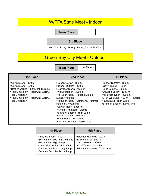#### W/TFA State Meet - Indoor

**Team Place**

#### **3rd Place**

>4x200 m Relay - Buergi, Peper, Gerow, Duffney

#### Green Bay City Meet - Outdoor

**Team Place** | 1st Place

| <b>1st Place</b>                                                                                                                                                                                         | 2nd Place                                                                                                                                                                                                                                                                                                                                                                                                    | 3rd Place                                                                                                                                                                                                                       |
|----------------------------------------------------------------------------------------------------------------------------------------------------------------------------------------------------------|--------------------------------------------------------------------------------------------------------------------------------------------------------------------------------------------------------------------------------------------------------------------------------------------------------------------------------------------------------------------------------------------------------------|---------------------------------------------------------------------------------------------------------------------------------------------------------------------------------------------------------------------------------|
| >Gavin Buergi - 100 m<br>>Gavin Buergi - 200 m<br>>Brett Westlund - 300 m Int. Hurdles<br>>4x100 m Relay - Hablewitz, Gerow,<br>Peper, Weltzien<br>>4x200 m Relay - Hablewitz, Gerow,<br>Peper, Weltzien | >Logan Gerow - 100 m<br>>Tanner Duffney - 400 m<br>>Salvador Sierra - 1600 m<br>>Nick Petersen - 3200 m<br>>4x400 m Relay - Peper, Hummel,<br>Lukas, Weltzien<br>>4x800 m Relay - Lemmens, Hummel,<br>Petersen, Holzmann<br>>Jordan Nass - Shot Put<br>>Almoni Chambers - Discus<br>>Brandon Endlich - High Jump<br>>Julian Charles - Pole Vault<br>>Ryan Buss - Long Jump<br>>Darrione Hughes - Triple Jump | >Tanner Duffney - 100 m<br>>Gavin Buergi - 400 m<br>>Jake Lemens - 800 m<br>>Dawson Borley - 1600 m<br>>Nick Verheyden - 3200 m<br>>Brett Westlund - 100 m H. Hurdles<br>>Ryan Buss - High Jump<br>>Branden Endlich - Long Jump |

| 4th Place                                                                                                                                                                                | <b>5th Place</b>                                                                                                                           |
|------------------------------------------------------------------------------------------------------------------------------------------------------------------------------------------|--------------------------------------------------------------------------------------------------------------------------------------------|
| >Andy Holzmann - 800 m<br>>Ben Hurley - 300 m Int. Hurdles<br>>Ben Hurley - High Jump<br>>Lucas McCormick - Pole Vault<br>>Darrione Hughes - Long Jump<br>>Branden Endlich - Triple Jump | >Michael Hablewitz - 200 m<br>>Nick Hummel - 800 m<br>>Jared Weiler - 3200 m<br>>Coy Wanner - Shot Put<br>>Michael Hablewitz - Triple Jump |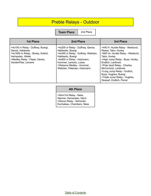## Preble Relays - Outdoor

**Team Place** 2nd Place

| <b>1st Place</b>                                                                                                                                                       | 2nd Place                                                                                                                                                                                                                              | 3rd Place                                                                                                                                                                                                                                                                                                                                            |
|------------------------------------------------------------------------------------------------------------------------------------------------------------------------|----------------------------------------------------------------------------------------------------------------------------------------------------------------------------------------------------------------------------------------|------------------------------------------------------------------------------------------------------------------------------------------------------------------------------------------------------------------------------------------------------------------------------------------------------------------------------------------------------|
| >4x100 m Relay - Duffney, Buergi,<br>Gerow, Hablewitz<br>>4x1600 m Relay - Borley, Exferd,<br>Verhayden, Weiler<br>>Medley Relay - Peper, Gerwo,<br>VandenPlas, Lemens | >4x200 m Relay - Duffney, Gerow,<br>Hablewitz, Buergi<br>>4x400 m Relay - Duffney, Weltzien,<br>Hablewitz, Buergi<br>>4x800 m Relay - Holzmann,<br>Hummel, Lemens, Lukas<br>>Distance Medley - Hummel,<br>Weltzien, Petersen, Holzmann | >440 H. Hurdle Relay - Westlund,<br>Reese, Tatro, Hurley<br>>900 Int. Hurdle Relay - Westlund,<br>Tatro, Hurley<br>>High Jump Relay - Buss, Hurley,<br>Endlich, Lardinois<br>>Pole Vault Relay - Charles,<br>McCormick, Lardinois<br>>Long Jump Relay - Endlich,<br>Buss, Hughes, Buergi<br>>Triple Jump Relay - Hughes,<br>Dessart, Endlich, Perret |

#### **4th Place**

>Shot Put Relay - Nass, Wanner, Hernandez, Herm >Discus Relay - Samorski, Duchateau, Chambers, Nass

Table of [Contents](#page-1-0)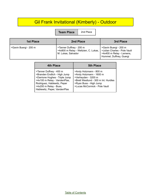## Gil Frank Invitational (Kimberly) - Outdoor

**Team Place** 2nd Place

| 1st Place             | 2nd Place                                                                             | 3rd Place                                                                                                       |
|-----------------------|---------------------------------------------------------------------------------------|-----------------------------------------------------------------------------------------------------------------|
| >Gavin Buergi - 200 m | >Tanner Duffney - 200 m<br>>4x800 m Relay - Weltzien, C. Lukas,<br>M. Lukas, Salvador | >Gavin Buergi - 200 m<br>  > Julian Charles - Pole Vault<br>>4x400 m Relay - Lemens,<br>Hummel, Duffney, Guergi |

| <b>4th Place</b>                                                                                                                                                                                                   | <b>5th Place</b>                                                                                                                                                            |
|--------------------------------------------------------------------------------------------------------------------------------------------------------------------------------------------------------------------|-----------------------------------------------------------------------------------------------------------------------------------------------------------------------------|
| >Tanner Duffney - 400 m<br>>Branden Endlich - High Jump<br>>Darrione Hughes - Triple Jump<br>>4x100 m Relay - VandenPlas,<br>Rodriguez, Hablewitz, Peper<br>>4x200 m Relay - Buss,<br>Hablewitz, Peper, VandenPlas | >Andy Holzmann - 800 m<br>>Andy Holzmann - 1600 m<br>>Verheyden - 3200 m<br>>Brett Westlund - 300 m Int. Hurdles<br>>Ryan Buss - High Jump<br>>Lucas McCormick - Pole Vault |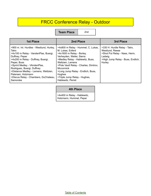## FRCC Conference Relay - Outdoor

**Team Place** 2nd

| <b>1st Place</b>                                                                                                                                                                                                                                                                                                                                | 2nd Place                                                                                                                                                                                                                                                                                                                                        | 3rd Place                                                                                                                                  |
|-------------------------------------------------------------------------------------------------------------------------------------------------------------------------------------------------------------------------------------------------------------------------------------------------------------------------------------------------|--------------------------------------------------------------------------------------------------------------------------------------------------------------------------------------------------------------------------------------------------------------------------------------------------------------------------------------------------|--------------------------------------------------------------------------------------------------------------------------------------------|
| >900 m. Int. Hurdles - Westlund, Hurley,<br>Tatro<br>>4x100 m Relay - VandenPlas, Buergi,<br>Duffney, Peper<br>>4x200 m Relay - Duffney, Buergi,<br>Peper, Buss<br>>Sprint Medley - VAndenPlas,<br>Rodriguez, Buergi, Duffney<br>>Distance Medley - Lemens, Weltzien,<br>Petersen, Holzmann<br>>Discus Relay - Chambers, DuChateau,<br>Samorske | >4x800 m Relay - Hummel, C. Lukas,<br>M. Lukas, Exferd<br>>4x1600 m Relay - Borley,<br>Verheyden, Weiler, Sierra<br>>Medley Relay - Hablewitz, Buss,<br>Weltzien, Lemens<br>>Pole Vault Relay - Charles, Dimtrov,<br><b>Mccormick</b><br>>Long Jump Relay - Endlich, Buss,<br><b>Hughes</b><br>>Triple Jump Relay - Hughes,<br>Hablewitz, Perret | >330 H. Hurdle Relay - Tatro,<br>Westlund, Reese<br>>Shot Put Relay - Nass, Herm,<br>Ladwig<br>>High Jump Relay - Buss, Endlich,<br>Hurley |

#### **4th Place**

>4x400 m Relay - Hablewitz, Holzmann, Hummel, Peper

Table of [Contents](#page-1-0)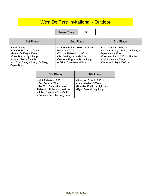## West De Pere Invitational - Outdoor

**Team Place** 1st

| <b>1st Place</b>                                                                                                                                                                     | 2nd Place                                                                                                                                                                      | 3rd Place                                                                                                                                                                  |
|--------------------------------------------------------------------------------------------------------------------------------------------------------------------------------------|--------------------------------------------------------------------------------------------------------------------------------------------------------------------------------|----------------------------------------------------------------------------------------------------------------------------------------------------------------------------|
| >Gavin Buergi - 100 m<br>>Andy Holzmann - 1600 m<br>>Tanner Duffney - 200 m<br>>Ryan Buss - High Jump<br>>Jordan Nass - Shot Put<br>>4x200 m Relay - Buergi, Duffney,<br>Peper, Buss | >4x800 m Relay - Petersen, Exferd,<br>Borley, Hummel<br>>Michael Hablewitz - 400 m<br>>Nick Verheyden - 3200 m<br>>Darrione Hughes - Triple Jump<br>>Al'Moni Chambers - Discus | >Jake Lemens - 1600 m<br>>4x100 m Relay - Buergi, Duffney, ><br>Peper, vandenPlas<br>>Brett Westlund - 300 Int. Hurdles<br>>Nick Hummel - 800 m<br>>Dawson Borley - 3200 m |

| <b>4th Place</b>                                                                                                                                                          | <b>5th Place</b>                                                                                            |
|---------------------------------------------------------------------------------------------------------------------------------------------------------------------------|-------------------------------------------------------------------------------------------------------------|
| >Nick Petersen - 800 m<br>>Ben Peper - 200 m<br>>4x400 m Relay - Lemens,<br>Hablewitz, Holzmann, Weltzien<br>>Julian Charles - Pole Vault<br>>Branden Endlich - Long Jump | >Shannon Exferd - 800 m<br>>Jared Weiler - 3200 m<br>>Branden Endlich - High Jump<br>>Ryan Buss - Long Jump |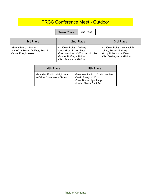## FRCC Conference Meet - Outdoor

**Team Place** 2nd Place

| <b>1st Place</b>                                                                 | 2nd Place                                                                                                                                          | 3rd Place                                                                                                    |
|----------------------------------------------------------------------------------|----------------------------------------------------------------------------------------------------------------------------------------------------|--------------------------------------------------------------------------------------------------------------|
| SGavin Buergi - 100 m<br>>4x100 m Relay - Duffney, Buergi,<br>VandenPlas, Massey | >4x200 m Relay - Duffney,<br>VandenPlas, Peper, Buss<br>>Brett Westlund - 300 m Int. Hurdles<br>>Tanner Duffney - 200 m<br>>Nick Petersen - 3200 m | >4x800 m Relay - Hummel, M.<br>Lukas, Exferd, Lindsley<br>>Andy Holzmann - 800 m<br>>Nick Verheyden - 3200 m |

| <b>4th Place</b>             | <b>5th Place</b>                                                           |
|------------------------------|----------------------------------------------------------------------------|
| >Branden Endlich - High Jump | >Brett Westlund - 110 m H. Hurdles                                         |
| >Al'Moni Chambers - Discus   | >Gavin Buergi - 200 m<br>>Ryan Buss - High Jump<br>>Jordan Nass - Shot Put |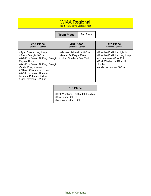#### WIAA Regional

Top 4 qualify for the Sectional Meet

**Team Place** 2nd Place

| 2nd Place<br><b>Sectional Qualifier</b>                                                                                                                                                                                                                                          | 3rd Place<br><b>Sectional Qualifier</b>                                               | <b>4th Place</b><br><b>Sectional Qualifier</b>                                                                                                                    |
|----------------------------------------------------------------------------------------------------------------------------------------------------------------------------------------------------------------------------------------------------------------------------------|---------------------------------------------------------------------------------------|-------------------------------------------------------------------------------------------------------------------------------------------------------------------|
| >Ryan Buss - Long Jump<br>>Gavin Buergi - 100 m<br>>4x200 m Relay - Duffney, Buergi,<br>Pepper, Buss<br>>4x100 m Relay - Duffney, Buergi,<br>VandenPlas, Massey<br>>Al'Moni Chambers - Discus<br>>4x800 m Relay - Hummel,<br>Lemens, Petersen, Exferd<br>>Nick Petersen - 3200 m | >Michael Hablewitz - 400 m<br>>Tanner Duffney - 200 m<br>>Julian Charles - Pole Vault | >Branden Endlich - High Jump<br>>Branden Endlich - Long Jump<br>>Jordan Nass - Shot Put<br>>Brett Westlund - 110 m H.<br><b>Hurdles</b><br>>Andy Holzmann - 800 m |

#### **5th Place**

>Brett Westlund - 300 m Int. Hurdles >Ben Peper - 200 m >Nick Verheyden - 3200 m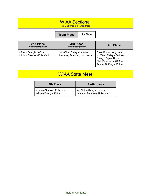#### WIAA Sectional

Top 3 advance to the State Meet

**Team Place** 5th Place

| 2nd Place<br><b>State Meet Qualifier</b>              | 3rd Place<br><b>State Meet Qualifier</b>               | 4th Place                                                                                                                    |
|-------------------------------------------------------|--------------------------------------------------------|------------------------------------------------------------------------------------------------------------------------------|
| >Gavin Buergi - 100 m<br>>Julian Charles - Pole Vault | >4x800 m Relay - Hummel,<br>Lemens, Petersen, Holzmann | Ryan Buss - Long Jump<br>4x200 m Relay - Duffney,<br>Buergi, Peper, Buss<br>Nick Petersen - 3200 m<br>Tanner Duffney - 200 m |

#### WIAA State Meet

| <b>9th Place</b>                                      | <b>Participants</b>                                    |
|-------------------------------------------------------|--------------------------------------------------------|
| >Julian Charles - Pole Vault<br>>Gavin Buergi - 100 m | >4x800 m Relay - Hummel,<br>Lemens, Petersen, Holzmann |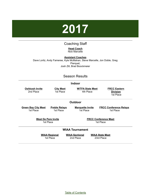# **2017**

#### Coaching Staff

**Head Coach** Nick Marcelle

<span id="page-26-0"></span>**Assistant Coaches** Dave Loritz, Andy Fameree, Kyle McMahan, Steve Marcelle, Jon Doble, Greg Pierquet, Josh Zill, Brad Boockmeier

#### Season Results

| <b>Indoor</b>                                                                       |                                   |                                      |                                                     |  |
|-------------------------------------------------------------------------------------|-----------------------------------|--------------------------------------|-----------------------------------------------------|--|
| Oshkosh Invite<br>2nd Place                                                         | <b>City Meet</b><br>1st Place     | <b>W/TFA State Meet</b><br>4th Place | <b>FRCC Eastern</b><br><b>Division</b><br>1st Place |  |
| Outdoor                                                                             |                                   |                                      |                                                     |  |
| <b>Green Bay City Meet</b><br>1st Place                                             | <b>Preble Relays</b><br>1st Place | <b>Marquette Invite</b><br>1st Place | <b>FRCC Conference Relays</b><br>1st Place          |  |
| <b>FRCC Conference Meet</b><br><b>West De Pere Invite</b><br>1st Place<br>1st Place |                                   |                                      |                                                     |  |
| <b>WIAA Tournament</b>                                                              |                                   |                                      |                                                     |  |
|                                                                                     | <b>WIAA Regional</b><br>1st Place | <b>WIAA Sectional</b><br>2nd Place   | <b>WIAA State Meet</b><br>23rd Place                |  |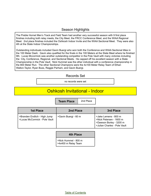#### Season Highlights

The Preble Hornet Men's Track and Field Team had another very successful season with 9 first place finishes including both relay meets, the City Meet, the FRCC Conference Meet, and the WIAA Regional Meet. 2nd place finishes included the Oshkosh Indoor Invite and the WIAA Sectional Meet. They were also 4th at the State Indoor Championships.

Outstanding individuals included Gavin Buergi who won both the Conference and WIAA Sectional titles in the 100 Meter Dash. Gavin also qualified for the finals in the 100 Meters at the State Meet where he finished 9th. Lucas Mccormick was another outstanding competitor in the Pole Vault with many victories including the City, Conference, Regional, and Sectional Meets. He capped off his excellent season with a State Championship in the Pole Vault. Nick Hummel was the other individual with a conference championship in the 800 Meter Run. The other Sectional Champions were the 4x100 Meter Relay Team of Ethan Walton-Taylor, Ryan Buss, Reggie Parham, and Gavin Buergi.

#### Records Set

no records were set

## Oshkosh Invitational - Indoor

| <b>1st Place</b>                                              | 2nd Place            | 3rd Place                                                                                                  |
|---------------------------------------------------------------|----------------------|------------------------------------------------------------------------------------------------------------|
| >Branden Endlich - High Jump<br>>Lucas McCormick - Pole Vault | >Gavin Buergi - 60 m | >Jake Lemens - 800 m<br>>Nick Petersen - 1600 m<br>>Dawson Borley - 3200 m<br>>Julian Charles - Pole Vault |

#### **4th Place**

>Nick Hummel - 800 m >4x400 m Relay Team

Table of [Contents](#page-1-0)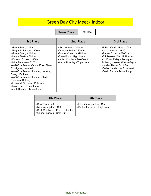## Green Bay City Meet - Indoor

**Team Place** | 1st Place

| <b>1st Place</b>                                                                                                                                                                                                                                                                                                                                                                                                                | 2nd Place                                                                                                                                                           | 3rd Place                                                                                                                                                                                                                                                                |
|---------------------------------------------------------------------------------------------------------------------------------------------------------------------------------------------------------------------------------------------------------------------------------------------------------------------------------------------------------------------------------------------------------------------------------|---------------------------------------------------------------------------------------------------------------------------------------------------------------------|--------------------------------------------------------------------------------------------------------------------------------------------------------------------------------------------------------------------------------------------------------------------------|
| >Gavin Buergi - 45 m<br>>Reginald Parham - 200 m<br>>Gavin Buergi - 400 m<br>>Henry Starks - 800 m<br>>Dawson Borley - 1600 m<br>>Nick Petersen - 3200 m<br>>4x200 m Relay - VandenPlas, Starks,<br>Rodriguez, Hummel<br>>4x400 m Relay - Hummel, Lemens,<br>Buergi, Duffney<br>>4x800 m Relay - Hummel, Starks,<br>Petersen, Duffney<br>>Lucas McCormick - Pole Vault<br>>Ryan Buss - Long Jump<br>>Jack Dessart - Triple Jump | >Nick Hummel - 400 m<br>>Dawson Borley - 800 m<br>>Tanner Conard - 3200 m<br>>Ryan Buss - High Jump<br>>Julian Charles - Pole Vault<br>>Aaron Hundley - Triple Jump | >Ethan VandenPlas - 200 m<br>>Jake Lemens - 1600 m<br>>Parker Scheld - 3200 m<br>>EJ Reese - 45 m H. Hurdles<br>>4x133 m Relay - Rodriquez,<br>Parham, Massey, Walton-Taylor<br>>Jordan Nass - Shot Put<br>>Dalton Lardinois - Pole Vault<br>>David Perret - Triple Jump |

| 4th Place                                                                                                        | <b>5th Place</b>                                          |
|------------------------------------------------------------------------------------------------------------------|-----------------------------------------------------------|
| >Ben Peper - 400 m<br>>Nick Verheyden - 1600 m<br>>Brett Westlund - 45 m H. Hurdles<br>>Connor Ladwig - Shot Put | >Ethan VandenPlas - 45 m<br>>Dalton Lardinois - High Jump |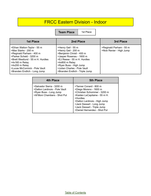## FRCC Eastern Division - Indoor

**Team Place** 1st Place

| <b>1st Place</b>                                                                                                                                                                                                                                    | 2nd Place                                                                                                                                                                                                                                         | 3rd Place                                           |
|-----------------------------------------------------------------------------------------------------------------------------------------------------------------------------------------------------------------------------------------------------|---------------------------------------------------------------------------------------------------------------------------------------------------------------------------------------------------------------------------------------------------|-----------------------------------------------------|
| >Ethan Walton-Taylor - 55 m<br>>Max Starks - 200 m<br>>Reginald Parham - 400 m<br>>Parker Scheld - 3200 m<br>>Brett Westlund - 55 m H. Hurdles<br>>4x160 m Relay<br>>4x200 m Relay<br>>Lucas McCormick - Pole Vault<br>>Branden Endlich - Long Jump | >Henry Geil - 55 m<br>>Henry Geil - 200 m<br>>Benjamin Christl - 400 m<br>>Jasper Rosenau - 1600 m<br>>EJ Reese - 55 m H. Hurdles<br>$>4x800$ m Relay<br>>Ryan Buss - High Jump<br>>Julian Charles - Pole Vault<br>>Branden Endlich - Triple Jump | >Reginald Parham - 55 m<br>>Nick Renier - High Jump |

| 4th Place                                                                                                             | <b>5th Place</b>                                                                                                                                                                                                                                           |
|-----------------------------------------------------------------------------------------------------------------------|------------------------------------------------------------------------------------------------------------------------------------------------------------------------------------------------------------------------------------------------------------|
| >Salvador Sierra - 3200 m<br>>Dalton Lardinois - Pole Vault<br>>Ryan Buss - Long Jump<br>>Al'Moni Chambers - Shot Put | >Tanner Conard - 800 m<br>>Diego Moreno - 1600 m<br>>Christian Schommer - 3200 m<br>>Kaiden LeCapitaine - 55 m H.<br>>Hurdles<br>>Dalton Lardinois - High Jump<br>>Jack Dessart - Long Jump<br>>Jack Dessart - Triple Jump<br>>Daniel Hernandez - Shot Put |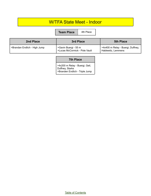#### W/TFA State Meet - Indoor

**Team Place** 4th Place

| 2nd Place                    | 3rd Place                                             | <b>5th Place</b>                                        |
|------------------------------|-------------------------------------------------------|---------------------------------------------------------|
| >Brandan Endlich - High Jump | >Gavin Buergi - 55 m<br>>Lucas McCormick - Pole Vault | >4x400 m Relay - Buergi, Duffney,<br>Hablewitz, Lemmens |

#### **7th Place**

>4x200 m Relay - Buergi, Geil, Duffney, Starks >Branden Endlich - Triple Jump

Table of [Contents](#page-1-0)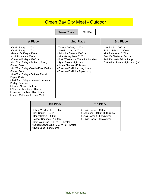## Green Bay City Meet - Outdoor

**Team Place** | 1st Place

| <b>1st Place</b>                                                                                                                                                                                                                                                                                                                                                                                                                                                                   | 2nd Place                                                                                                                                                                                                                                                                    | 3rd Place                                                                                                                                                                    |
|------------------------------------------------------------------------------------------------------------------------------------------------------------------------------------------------------------------------------------------------------------------------------------------------------------------------------------------------------------------------------------------------------------------------------------------------------------------------------------|------------------------------------------------------------------------------------------------------------------------------------------------------------------------------------------------------------------------------------------------------------------------------|------------------------------------------------------------------------------------------------------------------------------------------------------------------------------|
| >Gavin Buergi - 100 m<br>>Gavin Buergi - 200 m<br>>Tanner Duffney - 400 m<br>>Nick Hummel - 800 m<br>>Dawson Borley - 3200 m<br>>4x100 m Relay - Parham, Buergi,<br>Starks, Buss<br>>4x200 m Relay - VanderPlas, Parham,<br>Starks, Peper<br>>4x400 m Relay - Duffney, Perret,<br>Peper, Christl<br>>4x800 m Relay - Hummel, Lemens,<br>Borley, Petersen<br>>Jordan Nass - Shot Put<br>>Al'Moni Chambers - Discus<br>>Branden Endlich - High Jump<br>>Lucas McCormick - Pole Vault | >Tanner Duffney - 200 m<br>>Jake Lemens - 800 m<br>>Salvador Sierra - 1600 m<br>>Nick Verheyden - 3200 m<br>>Brett Westlund - 300 m Int. Hurdles<br>>Ryan Buss - High Jump<br>>Julian Charles - Pole Vault<br>>Branden Endlich - Long Jump<br>>Branden Endlich - Triple Jump | >Max Starks - 200 m<br>>Parker Scheld - 1600 m<br>>Nick Petersen - 3200 m<br>>Brett DuChateau - Discus<br>>Jack Dessart - Triple Jump<br>>Dalton Lardinois - High Jump (tie) |

| <b>4th Place</b>                                                                                                                                                                                                  | <b>5th Place</b>                                                                                                  |
|-------------------------------------------------------------------------------------------------------------------------------------------------------------------------------------------------------------------|-------------------------------------------------------------------------------------------------------------------|
| >Ethan VandenPlas - 100 m<br>>Ben Christl - 400 m<br>>Henry Starks - 800 m<br>>Jasper Rosenau - 1600 m<br>>Brett Westlund - 110 m H. Hurdles<br>>Kaiden LaCaptaine - 300 m Int. Hurdles<br>>Ryan Buss - Long Jump | >David Perret - 400 m<br>>EJ Reese - 110 m H. Hurdles<br>>Jack Dessart - Long Jump<br>>David Perret - Triple Jump |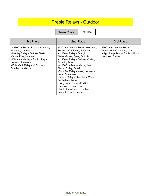## Preble Relays - Outdoor

**Team Place** | 1st Place

| <b>1st Place</b>                                                                                                                                                                                                               | 2nd Place                                                                                                                                                                                                                                                                                                                                                                                                                                                                               | 3rd Place                                                                                                            |
|--------------------------------------------------------------------------------------------------------------------------------------------------------------------------------------------------------------------------------|-----------------------------------------------------------------------------------------------------------------------------------------------------------------------------------------------------------------------------------------------------------------------------------------------------------------------------------------------------------------------------------------------------------------------------------------------------------------------------------------|----------------------------------------------------------------------------------------------------------------------|
| >4x800 m Relay - Petersen, Starks,<br>Hummel, Lemens<br>>Medley Relay - Duffney Starks,<br>VandenPlas, Hummel<br>>Distance Medley - Starks, Peper,<br>Lemens, Petersen<br>>Pole Vault Relay - McCormick,<br>Charles, Lardinois | >330 m H. Hurdle Relay - Westlund,<br>Reese, LaCapitaine, Johnson<br>>4x100 m Relay - Buergi,<br>Walton-Taylor, Buss, Endlich<br>>4x400 m Relay - Duffney, Christl,<br>Bosacki, Perret<br>>4x1600 m Relay - Verheyden,<br>Sierra, Borley, Scheld<br>>Shot Put Relay - Nass, Hernandez,<br>Herm, Chambers<br>>Discus Relay - Chambers, Wolfe,<br>DuChateau, Nass<br>>Long Jump Relay - Endlich,<br>Lardinois, Dessart, Buss<br>>Triple Jump Relay - Endlich,<br>Dessart, Perret, Huntley | >900 m Int. Hurdle Relay -<br>Westlund, LeCapitaine, Vance<br>>High Jump Relay - Endlich, Buss,<br>Lardinois, Renier |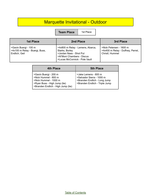## Marquette Invitational - Outdoor

**Team Place** 1st Place

| <b>1st Place</b>                                                         | 2nd Place                                                                                                                                    | 3rd Place                                                                       |
|--------------------------------------------------------------------------|----------------------------------------------------------------------------------------------------------------------------------------------|---------------------------------------------------------------------------------|
| SGavin Buergi - 100 m<br>>4x100 m Relay - Buergi, Buss,<br>Endlich, Geil | >4x800 m Relay - Lemens, Abarca,<br>Starks, Borley<br>>Jordan Nass - Shot Put<br>>Al'Moni Chambers - Discus<br>>Lucas McCormick - Pole Vault | >Nick Petersen - 1600 m<br>>4x400 m Relay - Duffney, Perret,<br>Christl, Hummel |

| <b>4th Place</b>                                                                                                                             | <b>5th Place</b>                                                                                                    |
|----------------------------------------------------------------------------------------------------------------------------------------------|---------------------------------------------------------------------------------------------------------------------|
| >Gavin Buergi - 200 m<br>>Nick Hummel - 800 m<br>>Nick Hummel - 1000 m<br>>Ryan Buss - High Jump (tie)<br>>Branden Endlich - High Jump (tie) | >Jake Lemens - 800 m<br>>Salvador Sierra - 1000 m<br>>Branden Endlich - Long Jump<br>>Branden Endlich - Triple Jump |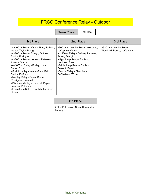## FRCC Conference Relay - Outdoor

**Team Place** | 1st Place

| <b>1st Place</b>                                                                                                                                                                                                                                                                                                                                                                                                                                                     | 2nd Place                                                                                                                                                                                                                                                              | 3rd Place                                              |
|----------------------------------------------------------------------------------------------------------------------------------------------------------------------------------------------------------------------------------------------------------------------------------------------------------------------------------------------------------------------------------------------------------------------------------------------------------------------|------------------------------------------------------------------------------------------------------------------------------------------------------------------------------------------------------------------------------------------------------------------------|--------------------------------------------------------|
| >4x100 m Relay - VandenPlas, Parham,<br>Walton-Taylor, Buergi<br>>4x200 m Relay - Buergi, Duffney,<br>Starks, Rodriguez<br>>4x800 m Relay - Lemens, Petersen,<br>Abarca, Starks<br>>4x1600 m Relay - Borley, conard,<br>Sierra, Scheld<br>>Sprint Medley - VandenPlas, Geil,<br>Starks, Duffney<br>>Medley Relay - Peper, Starks,<br>Rodriguez, Hummel<br>>Distance Medley - Hummel, Peper,<br>Lemens, Petersen<br>>Long Jump Relay - Endlich, Lardinois,<br>Dessart | >900 m Int. Hurdle Relay - Westlund,<br>LeCaptain, Vance<br>>4x400 m Relay - Duffney, Lemens,<br>Perret, Buergi<br>>High Jump Relay - Endlich,<br>Lardinois, Buss<br>>Triple Jump Relay - Endlich,<br>Dessart, Perret<br>>Discus Relay - Chambers,<br>DuChateau, Wolfe | >330 m H. Hurdle Relay -<br>Westlund, Reese, LeCaptain |

#### **4th Place**

>Shot Put Relay - Nass, Hernandez, Ladwig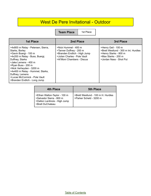## West De Pere Invitational - Outdoor

**Team Place** | 1st Place

| <b>1st Place</b>                                                                                                                                                                                                                                                                                                                     | 2nd Place                                                                                                                                     | 3rd Place                                                                                                                              |
|--------------------------------------------------------------------------------------------------------------------------------------------------------------------------------------------------------------------------------------------------------------------------------------------------------------------------------------|-----------------------------------------------------------------------------------------------------------------------------------------------|----------------------------------------------------------------------------------------------------------------------------------------|
| >4x800 m Relay - Petersen, Sierra,<br>Starks, Borley<br>>Gavin Buergi - 100 m<br>>4x200 m Relay - Buss, Buergi,<br>Duffney, Starks<br>>Jake Lemens - 400 m<br>>Ryan Buss - 200 m<br>>Nick Verheyden - 3200 m<br>>4x400 m Relay - Hummel, Starks,<br>Duffney, Lemens<br>>Lucas McCormick - Pole Vault<br>>Branden Endlich - Long Jump | >Nick Hummel - 400 m<br>>Tanner Duffney - 200 m<br>>Branden Endlich - High Jump<br>>Julian Charles - Pole Vault<br>>Al'Moni Chambers - Discus | >Henry Geil - 100 m<br>>Brett Westlund - 300 m Int. Hurdles<br>>Henry Starks - 800 m<br>>Max Starks - 200 m<br>>Jordan Nass - Shot Put |

| 4th Place                                                                                                     | <b>5th Place</b>                                              |
|---------------------------------------------------------------------------------------------------------------|---------------------------------------------------------------|
| >Ethan Walton-Taylor - 100 m<br>>Salvador Sierra - 800 m<br>>Dalton Lardinois - High Jump<br>>Brett DuChateau | >Brett Westlund - 100 m H. Hurdles<br>>Parker Scheld - 3200 m |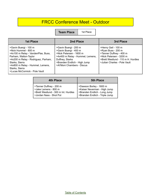## FRCC Conference Meet - Outdoor

**Team Place** | 1st Place

| <b>1st Place</b>                                                                                                                                                                                                                                             | 2nd Place                                                                                                                                                                                      | 3rd Place                                                                                                                                                             |
|--------------------------------------------------------------------------------------------------------------------------------------------------------------------------------------------------------------------------------------------------------------|------------------------------------------------------------------------------------------------------------------------------------------------------------------------------------------------|-----------------------------------------------------------------------------------------------------------------------------------------------------------------------|
| >Gavin Buergi - 100 m<br>>Nick Hummel - 800 m<br>>4x100 m Relay - VandenPlas, Buss,<br>Parham, Walton-Taylor<br>>4x200 m Relay - Rodriguez, Parham,<br>Starks, Sierra<br>>4x800 m Relay - Hummel, Lemens,<br>Starks, Sierra<br>>Lucas McCormick - Pole Vault | >Gavin Buergi - 200 m<br>>Gavin Buergi - 400 m<br>>Nick Petersen - 1600 m<br>>4x400 m Relay - Hummel, Lemens,<br>Duffney, Starks<br>>Branden Endlich - High Jump<br>>Al'Moni Chambers - Discus | >Henry Geil - 100 m<br>>Ryan Buss - 200 m<br>>Tanner Duffney - 400 m<br>>Nick Petersen - 3200 m<br>>Brett Westlund - 110 m H. Hurdles<br>>Julian Charles - Pole Vault |

| <b>4th Place</b>                                                                                                   | <b>5th Place</b>                                                                                                          |
|--------------------------------------------------------------------------------------------------------------------|---------------------------------------------------------------------------------------------------------------------------|
| >Tanner Duffney - 200 m<br>>Jake Lemens - 800 m<br>>Brett Westlund - 300 m Int. Hurdles<br>>Jordan Nass - Shot Put | >Dawson Borley - 1600 m<br>>Kaiser Neverman - High Jump<br>>Branden Endlich - Long Jump<br>>Branden Endlich - Triple Jump |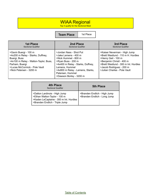#### WIAA Regional

Top 4 qualify for the Sectional Meet

**Team Place** 1st Place

| 1st Place                                                                                                                                                                                         | 2nd Place                                                                                                                                                                                                                               | 3rd Place                                                                                                                                                                                                                  |
|---------------------------------------------------------------------------------------------------------------------------------------------------------------------------------------------------|-----------------------------------------------------------------------------------------------------------------------------------------------------------------------------------------------------------------------------------------|----------------------------------------------------------------------------------------------------------------------------------------------------------------------------------------------------------------------------|
| <b>Sectional Qualifier</b>                                                                                                                                                                        | <b>Sectional Qualifier</b>                                                                                                                                                                                                              | <b>Sectional Qualifier</b>                                                                                                                                                                                                 |
| >Gavin Buergi - 100 m<br>>4x200 m Relay - Starks, Duffney,<br>Buergi, Buss<br>>4x100 m Relay - Walton-Taylor, Buss,<br>Parham, Buergi<br>>Lucas McCormick - Pole Vault<br>>Nick Petersen - 3200 m | >Jordan Nass - Shot Put<br>>Jake Lemens - 400 m<br>>Nick Hummel - 800 m<br>>Ryan Buss - 200 m<br>>4x400 m Relay - Starks, Duffney,<br>Lemens, Hummel<br>>4x800 m Relay - Lemens, Starks,<br>Petersen, Hummel<br>>Dawson Borley - 3200 m | >Kaiser Neverman - High Jump<br>>Brett Westlund - 110 m H. Hurdles<br>>Henry Geil - 100 m<br>>Benjamin Christl - 400 m<br>>Brett Westlund - 300 m Int. Hurdles<br>>Jacob Rodriguez - 200 m<br>>Julian Charles - Pole Vault |

| 4th Place<br><b>Sectional Qualifier</b>                                                                                                   | <b>5th Place</b>                                             |
|-------------------------------------------------------------------------------------------------------------------------------------------|--------------------------------------------------------------|
| >Dalton Lardinois - High Jump<br>>Ethan Walton-Taylor - 100 m<br>>Kaden LeCaptaine - 300 m Int. Hurdles<br>>Branden Endlich - Triple Jump | >Branden Endlich - High Jump<br>>Branden Endlich - Long Jump |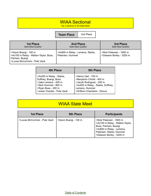#### WIAA Sectional

Top 3 advance to the State Meet

**Team Place** 2nd Place

| <b>1st Place</b>                                                                                                  | 2nd Place                                            | 3rd Place                                          |
|-------------------------------------------------------------------------------------------------------------------|------------------------------------------------------|----------------------------------------------------|
| <b>State Meet Qualifier</b>                                                                                       | <b>State Meet Qualifier</b>                          | <b>State Meet Qualifier</b>                        |
| >Gavin Buergi - 100 m<br>>4x100 m Relay - Walton-Taylor, Buss,<br>Parham, Buergi<br>>Lucas McCormick - Pole Vault | >4x800 m Relay - Lemens, Starks,<br>Petersen, Hummel | >Nick Petersen - 1600 m<br>>Dawson Borley - 3200 m |

| <b>4th Place</b>             | <b>5th Place</b>                  |
|------------------------------|-----------------------------------|
| >4x200 m Relay - Starks,     | >Henry Geil - 100 m               |
| Duffney, Buergi, Buss        | >Benjamin Christl - 400 m         |
| >Jake Lemens - 400 m         | >Jacob Rodriguez - 200 m          |
| >Nick Hummel - 800 m         | >4x400 m Relay - Starks, Duffney, |
| >Ryan Buss - 200 m           | Lemens, Hummel                    |
| >Julian Charles - Pole Vault | >Al'Moni Chambers - Discus        |

## WIAA State Meet

| <b>1st Place</b>              | <b>9th Place</b>      | <b>Participants</b>                                                                                                                                                   |
|-------------------------------|-----------------------|-----------------------------------------------------------------------------------------------------------------------------------------------------------------------|
| >Lucas McCormick - Pole Vault | >Gavin Buergi - 100 m | >Nick Petersen - 1600 m<br>>4x100 m Relay - Walton-Taylor,<br>Buss, Parham, Buergi<br>>4x800 m Relay - Lemens,<br>Petersen, Starks, Hummel<br>>Dawson Borley - 3200 m |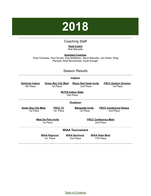## **2018**

#### Coaching Staff

#### **Head Coach** Nick Marcelle

<span id="page-39-0"></span>**Assistant Coaches** Andy Fameree, Paul Donart, Kyle McMahan, Steve Marcelle, Jon Doble, Greg Pierquet, Brad Boockmeier, Scott Kreuger

#### Season Results

#### **Indoor**

| Oshkosh Indoor<br>4th Place             | <b>Green Bay City Meet</b><br>1st Place                                             | <b>Ripon Red Hawk Invite</b><br>2nd Place | <b>FRCC Eastern Division</b><br>1st Place  |  |
|-----------------------------------------|-------------------------------------------------------------------------------------|-------------------------------------------|--------------------------------------------|--|
| <b>W/TFA Indoor State</b><br>14th Place |                                                                                     |                                           |                                            |  |
|                                         |                                                                                     | <b>Outdoor</b>                            |                                            |  |
| <b>Green Bay City Meet</b><br>1st Place | <b>FRCC Tri</b><br>1st Place                                                        | <b>Marquette Invite</b><br>1st Place      | <b>FRCC Conference Relays</b><br>2nd Place |  |
|                                         | <b>FRCC Conference Meet</b><br><b>West De Pere Invite</b><br>1st Place<br>2nd Place |                                           |                                            |  |
| <b>WIAA Tournament</b>                  |                                                                                     |                                           |                                            |  |
|                                         | <b>WIAA Regional</b><br>1st Place                                                   | <b>WIAA Sectional</b><br>2nd Place        | <b>WIAA State Meet</b><br>17th Place       |  |

Table of [Contents](#page-1-0)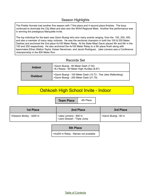#### Season Highlights

The Preble Hornets had another fine season with 7 first place and 4 second place finishes. The boys continued to dominate the City Meet and also won the WIAA Regional Meet. Another fine performance was in winning the prestigious Marquette Invite.

The top individual for the team was Gavin Buergi who won many events ranging from the 100, 200, 400, and also a member of many relay victories. He was the sectional champion in both the 100 & 200 Meter Dashes and anchored the 2nd place 4x100 Meter Relay. At the State Meet Gavin placed 4th and 6th in the 100 and 200 respectively. He also anchored the 4x100 Meter Relay to a 5th place finish along with teammates Ethan Walton-Taylor, Kaiser Neverman, and Jacob Rodriguez. Jake Lemens was a Conference championship in the 800 Meter Run.

#### Records Set

| <b>Indoor</b>  | >Gavin Buergi - 60 Meter Dash (7.04)<br>>EJ Reese - 60 Meter High Hurdles (8.87)                        |
|----------------|---------------------------------------------------------------------------------------------------------|
| <b>Outdoor</b> | >Gavin Buergi - 100 Meter Dash (10.73 - Ties Jake Wallenfang)<br>>Gavin Buergi - 200 Meter Dash (21.79) |

## Oshkosh High School Invite - Indoor

**Team Place** | 4th Place

| <b>1st Place</b>        | 2nd Place                                           | 3rd Place            |
|-------------------------|-----------------------------------------------------|----------------------|
| >Dawson Borley - 3200 m | >Jake Lemens - 800 m<br>>Jack Dessart - Triple Jump | >Gavin Buergi - 60 m |

#### **5th Place**

>4x200 m Relay - Names not available

Table of [Contents](#page-1-0)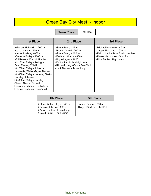## Green Bay City Meet - Indoor

**Team Place** | 1st Place

| 1st Place                                                                                                                                                                                                                                                                                                                                                                                                                                          | 2nd Place                                                                                                                                                                                                                          | 3rd Place                                                                                                                                                |
|----------------------------------------------------------------------------------------------------------------------------------------------------------------------------------------------------------------------------------------------------------------------------------------------------------------------------------------------------------------------------------------------------------------------------------------------------|------------------------------------------------------------------------------------------------------------------------------------------------------------------------------------------------------------------------------------|----------------------------------------------------------------------------------------------------------------------------------------------------------|
| >Michael Hablewitz - 200 m<br>>Jake Lemens - 400 m<br>>Lucas Lindsley - 800 m<br>>Dawson Borley - 1600 m<br>>EJ Reese - 45 m H. Hurdles<br>>4x133 m Relay - Rodriguez,<br>Dear, Reese, O'Neill<br>>4x200 m Relay - Johnson,<br>Hablewitz, Walton-Taylor Dessart<br>>4x400 m Relay - Lemens, Starks,<br>Lindsley, Johnson<br>>4x800 m Relay - Lindsley,<br>Starks, Abarca, Conard<br>>Jackson Schaetz - High Jump<br>>Dalton Lardinois - Pole Vault | >Gavin Buergi - 45 m<br>>Brenan O'Neil - 200 m<br>>Gavin Buergi - 400 m<br>>Federico Abarca - 800 m<br>>Bryce Legois - 1600 m<br>>Dalton Lardinois - High Jump<br>>Richardo Lugo-Ortiz - Pole Vault<br>>Jack Dessart - Triple Jump | >Michael Hablewitz - 45 m<br>>Jasper Rosenau - 1600 M<br>>Dalton Lardinois - 45 m H. Hurdles<br>>Daniel Hernandez - Shot Put<br>>Nick Renier - High Jump |

| 4th Place                                                                                                            | <b>5th Place</b>                                      |
|----------------------------------------------------------------------------------------------------------------------|-------------------------------------------------------|
| >Ethan Walton-Taylor - 45 m<br>>Preston Johnson - 200 m<br>>Aaron Huntley - Long Jump<br>>David Perret - Triple Jump | >Tanner Conard - 800 m<br>>Blagoy Dimitrov - Shot Put |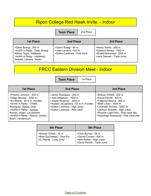## Ripon College Red Hawk Invite - Indoor

**Team Place** 2nd Place

| 1st Place                                                                                                                                     | 2nd Place                                                                      | 3rd Place                                                                                                   |
|-----------------------------------------------------------------------------------------------------------------------------------------------|--------------------------------------------------------------------------------|-------------------------------------------------------------------------------------------------------------|
| >Gavin Buergi - 200 m<br>>4x200 m Relay - Dear, Buergi,<br>Walton-Taylor, Hablewitz<br>>4x400 m Relay - Hablewitz,<br>Dessart, Lemens, Starks | >Gavin Buergi - 60 m<br>>Jake Lemens - 400 m<br>>Dalton Lardinois - Pole Vault | >Henry Starks - 800 m<br>>Dawson Borley - 1600 m<br>>Khalid Mohamed - 3200 m<br>>Jack Dessart - Triple Jump |

#### FRCC Eastern Division Meet - Indoor

**Team Place** 1st Place

| 1st Place                                                                                                                                                                                                                                                    | 2nd Place                                                                                                                                                                                   | 3rd Place                                                                                                                                                                                                                                                  |
|--------------------------------------------------------------------------------------------------------------------------------------------------------------------------------------------------------------------------------------------------------------|---------------------------------------------------------------------------------------------------------------------------------------------------------------------------------------------|------------------------------------------------------------------------------------------------------------------------------------------------------------------------------------------------------------------------------------------------------------|
| >Preston Johnson - 400 m<br>>Diego Moreno - 3200 m<br>>EJ Reese - 55 m H. Hurdles<br>>4x100 m Relay - O'Neill,<br>Rodriguez, Reese, Dear<br>>4x200 m Relay - Aguado,<br>Byrnes, Verjan, LeCapitaine<br>>4x800 m Relay - Abarca, conard,<br>Balch, Vandenbush | >Jacob Rodriguez - 200 m<br>>Josh Helgeson - 1600 m<br>>Jasper Rosenau - 3200 m<br>>Kaiden LeCapitaine - 55 m H. Hurdles<br>>Dalton Lardinois - High Jump<br>>Dalton Lardinois - Pole Vault | >Brenan O'Neill - 200 m<br>>David Perrett - 400 m<br>>Federico Abarca - 800 m<br>>Brett Litkey - 1600 m<br>>Chandler Vincent - 3200 m<br>>Jackson Schaetz - High Jump<br>>Ricardo Lugo-Ortiz - Pole Vault (tie)<br>>Ssantiago Amezquita - Pole Vault (tie) |

| <b>4th Place</b>            | <b>5th Place</b>                               |
|-----------------------------|------------------------------------------------|
| >Brenan O'Neill - 55 m      | >Chris Byrnes - 55 m<br>>Tanner Conard - 800 m |
| >Brett DuChateau - Shot Put | >Nick Renier - High Jump                       |
| >EJ Reese - Long Jump       | >David Perrett - Triple Jump                   |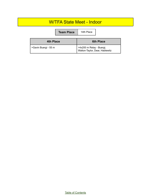## W/TFA State Meet - Indoor

|                      | <b>Team Place</b> | 14th Place                                                 |                  |
|----------------------|-------------------|------------------------------------------------------------|------------------|
| <b>4th Place</b>     |                   |                                                            | <b>6th Place</b> |
| >Gavin Buergi - 55 m |                   | >4x200 m Relay - Buergi,<br>Walton-Taylor, Dear, Hablewitz |                  |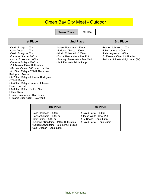## Green Bay City Meet - Outdoor

**Team Place** | 1st Place

| <b>1st Place</b>                                                                                                                                                                                                                                                                                                                                                                                                                                                                                                                          | 2nd Place                                                                                                                                                                           | 3rd Place                                                                                                                                           |
|-------------------------------------------------------------------------------------------------------------------------------------------------------------------------------------------------------------------------------------------------------------------------------------------------------------------------------------------------------------------------------------------------------------------------------------------------------------------------------------------------------------------------------------------|-------------------------------------------------------------------------------------------------------------------------------------------------------------------------------------|-----------------------------------------------------------------------------------------------------------------------------------------------------|
| >Gavin Buergi - 100 m<br>>Jack Dessart - 200 m<br>>Gavin Buergi - 400 m<br>>Salvador Sierra - 800 m<br>>Jasper Rosenau - 1600 m<br>>Dawson Borley - 3200 m<br>>EJ Reese - 110 m H. Hurdles<br>>Michael Vance - 300 m Int. Hurdles<br>>4x100 m Relay - O'Neill, Neverman,<br>Rodriguez, Dessart<br>>4x200 m Relay - Johnson, Rodriguez,<br>O'Neill, Reese<br>>4x400 m Relay - Lemens, Johnson,<br>Perret, Conard<br>>4x800 m Relay - Borley, Abarca,<br>Litkey, Sierra<br>>Kaiser Neverman - High Jump<br>>Ricardo Lugo-Ortiz - Pole Vault | >Kaiser Neverman - 200 m<br>>Federico Abarca - 800 m<br>>Khalid Mohamed - 3200 m<br>>Daniel Hernandez - Shot Put<br>>Santiago Amezquita - Pole Vault<br>>Jack Dessart - Triple Jump | >Preston Johnson - 100 m<br>>Jake Lemens - 400 m<br>>Josh Helgeson - 1600 m<br>>EJ Reese - 300 m Int. Hurdles<br>>Jackson Schaetz - High Jump (tie) |

| 4th Place                                                                                                                                                                                      | <b>5th Place</b>                                                                                         |
|------------------------------------------------------------------------------------------------------------------------------------------------------------------------------------------------|----------------------------------------------------------------------------------------------------------|
| >Josh Helgeson - 800 m<br>>Tanner Conard - 1600 m<br>>Brett Litkey - 3200 m<br>>Kaiden LeCapitaine - 110 m H. Hurdles<br>>Kaiden LeCapitaine - 300 m Int. Hurdles<br>>Jack Dessart - Long Jump | >David Perret - 400 m<br>>Jacob Wolfe - Shot Put<br>>EJ Reese - Long Jump<br>>David Perret - Triple Jump |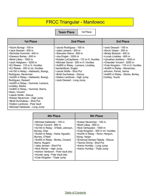## FRCC Triangular - Manitowoc

**Team Place** | 1st Place

| <b>1st Place</b>                                                                                                                                                                                                                                                                                                                                                                                                                                                                                                                                                                                                                 | 2nd Place                                                                                                                                                                                                                                                                                                                                                             | 3rd Place                                                                                                                                                                                                                                                                                                           |
|----------------------------------------------------------------------------------------------------------------------------------------------------------------------------------------------------------------------------------------------------------------------------------------------------------------------------------------------------------------------------------------------------------------------------------------------------------------------------------------------------------------------------------------------------------------------------------------------------------------------------------|-----------------------------------------------------------------------------------------------------------------------------------------------------------------------------------------------------------------------------------------------------------------------------------------------------------------------------------------------------------------------|---------------------------------------------------------------------------------------------------------------------------------------------------------------------------------------------------------------------------------------------------------------------------------------------------------------------|
| >Gavin Buregi - 100 m<br>>Jack Dessart - 200 m<br>>Nicholas Hummel - 400 m<br>>Dawson Borley - 800 m<br>>Brett Litkey - 1600 m<br>>Josh Helgeson - 3200 m<br>>EJ Reese - 110 m H. Hurdles<br>>EJ Reese - 300 m Int. Hurdles<br>>4x100 m Relay - Hablewitz, Buergi,<br>Rodriguez, Neverman<br>>4x200 m Relay - Hablewitz, Buergi,<br>Rodriguez, Dessart<br>>4x400 m Relay - Hummel, Lemens,<br>Lindsley, Starks<br>>4x800 m Relay - Hummel, Sierra,<br>Olsen, Vincent<br>>Jakob Wolfe - Discus<br>>Kaiser Neverman - High Jump<br>>Brett DuChateau - Shot Put<br>>Dalton Lardinois - Pole Vault<br>>Michael Hablewitz - Long Jump | >Jacob Rodriguez - 100 m<br>>Jake Lemens - 200 m<br>>Salvador Sierra - 800 m<br>>Joe Engler - 3200 m<br>>Kaiden LeCapitaine - 110 m H. Hurdles<br>>Michael Vance - 300 m H. Hurdles<br>>4x800 m Relay - Lemens, Lindsley,<br>VandenBush, Engler<br>>Jacob Wolfe - Shot Put<br>>Brett Duchateau - Discus<br>>Dalton Lardinois - High Jump<br>>Jack Dessart - Long Jump | >Jack Dessart - 100 m<br>>Kevin Verjan - 200 m<br>>Brady Bosacki - 400 m<br>>Lucas Lindsley - 800 m<br>>Jonathan Arellano - 1600 m<br>>Chandler Vincent - 3200 m<br>>Cole Kingston - 110 m H. Hurdles<br>>4x400 m Relay - Neverman,<br>Johnson, Perret, Vance<br>>4x800 m Relay - Starks, Borley,<br>Corbley, Younk |

| 4th Place                                                                                                                                                                                                                                                                                                                                                                              | <b>5th Place</b>                                                                                                                                                                                                                                                                                      |
|----------------------------------------------------------------------------------------------------------------------------------------------------------------------------------------------------------------------------------------------------------------------------------------------------------------------------------------------------------------------------------------|-------------------------------------------------------------------------------------------------------------------------------------------------------------------------------------------------------------------------------------------------------------------------------------------------------|
| >Michael Hablewitz - 100 m<br>>Tanner Conard - 800 m<br>>4x100 m Relay - O'Neill, Johnson,<br>Byrnes, Diaz<br>>4x200 m Relay - Kane, Aguado,<br>Byrnes, O'Neill<br>>4x400 m Relay - Borley, Conard,<br>Sierra, Nugent<br>>Jake Jensen - Shot Put<br>>Nick Renier - High Jump<br>>Ashton Verdoorn - Pole Vault (tie)<br>>Hunter yang - Pole Vault (tie)<br>>Cole Kingston - Triple Jump | >Kaiser Neverman - 100 m<br>>Brett Litkey - 800 m<br>>Nick Verheyden - 1600 m<br>>Cole Kingston - 300 m Int. Hurdles<br>>4x200 m Relay - Tenor, Henjum,<br>Xiong, Verjan<br>>Emanuel Sampo-Tejeda - Discus<br>>Tanner Diring - Shot Put<br>>Aaron Huntley - Long Jump<br>>Aaron Huntley - Triple Jump |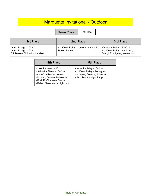## Marquette Invitational - Outdoor

**Team Place** 1st Place

| 1st Place                                                                     | 2nd Place                                          | 3rd Place                                                                             |
|-------------------------------------------------------------------------------|----------------------------------------------------|---------------------------------------------------------------------------------------|
| Gavin Buergi - 100 m<br>Gavin Buergi - 200 m<br>EJ Reese - 300 m Int. Hurdles | >4x800 m Relay - Lemens, Hummel,<br>Starks, Borley | >Dawson Borley - 3200 m<br>>4x100 m Relay - Hablewitz,<br>Buergi, Rodriguez, Neverman |

| 4th Place                                                                                                                                                                | <b>5th Place</b>                                                                                                   |
|--------------------------------------------------------------------------------------------------------------------------------------------------------------------------|--------------------------------------------------------------------------------------------------------------------|
| >Jake Lemens - 400 m<br>>Salvador Sierra - 1000 m<br>>4x400 m Relay - Lemens,<br>Hummel, Dessart, Hablewitz<br>>Brett DuChateau - Discus<br>>Kaiser Neverman - High Jump | >Lucas Lindsley - 1000 m<br>>4x200 m Relay - Rodriguez,<br>Hablewitz, Dessart, Johnson<br>>Nick Renier - High Jump |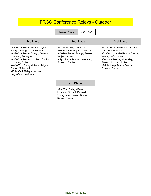## FRCC Conference Relays - Outdoor

**Team Place** 2nd Place

| <b>1st Place</b>                                                                                                                                                                                                                                                                                      | 2nd Place                                                                                                                                                       | 3rd Place                                                                                                                                                                                                                        |
|-------------------------------------------------------------------------------------------------------------------------------------------------------------------------------------------------------------------------------------------------------------------------------------------------------|-----------------------------------------------------------------------------------------------------------------------------------------------------------------|----------------------------------------------------------------------------------------------------------------------------------------------------------------------------------------------------------------------------------|
| >4x100 m Relay - Walton-Taylor,<br>Buergi, Rodriguez, Neverrman<br>>4x200 m Relay - Buergi, Dessart,<br>Johnson, Rodriguez<br>>4x800 m Relay - Condard, Starks,<br>Hummel, Borley<br>>4x1600 m Relay - Litkey, Helgeson,<br>Sierra, Mohamed<br>>Pole Vault Relay - Lardinois,<br>Lugo-Ortiz, Verdoorn | >Sprint Medley - Johnson,<br>Neverman, Rodriguez, Lemens<br>>Medley Relay - Buergi, Reese,<br>Verjan, Lemens<br>>High Jump Relay - Neverman,<br>Schaetz, Renier | >3x110 H. Hurdle Relay - Reese,<br>LeCapitaine, Michaud<br>>3x300 Int. Hurdle Relay - Reese,<br>Vance, LaCapitaine<br>>Distance Medley - Lindsley,<br>Starks, Hummel, Borley<br>>Triple Jump Relay - Dessart,<br>Schaetz, Perret |

#### **4th Place**

>4x400 m Relay - Perret, Hummel, Conard, Dessart >Long Jump Relay - Buergi, Reese, Dessart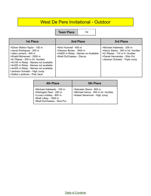## West De Pere Invitational - Outdoor

**Team Place** 1st

| <b>1st Place</b>                                                                                                                                                                                                                                                                                                                         | 2nd Place                                                                                                           | 3rd Place                                                                                                                                                          |
|------------------------------------------------------------------------------------------------------------------------------------------------------------------------------------------------------------------------------------------------------------------------------------------------------------------------------------------|---------------------------------------------------------------------------------------------------------------------|--------------------------------------------------------------------------------------------------------------------------------------------------------------------|
| >Ethan Walton-Taylor - 100 m<br>>Jacob Rodriguez - 200 m<br>>Jake Lemens - 400 m<br>>Khalid Mohamed - 3200 m<br>>EJ Reese - 300 m Int. Hurdles<br>>4x100 m Relay - Names not available<br>>4x200 m Relay - Names not available<br>>4x400 m Relay - Names not available<br>>Jackson Schaetz - High Jump<br>>Dalton Lardinois - Pole Vault | >Nick Hummel - 400 m<br>>Dawson Borley - 1600 m<br>>4x800 m Relay - Names no Available<br>>Brett DuChateau - Discus | >Michael Hablewitz - 200 m<br>>Henry Starks - 300 m Int. Hurdles<br>>EJ Reese - 110 m H. Hurdles<br>>Daniel Hernandez - Shto Put<br>>Jackson Schaetz - Triple Jump |

| 4th Place                                                                                                                                | <b>5th Place</b>                                                                                |
|------------------------------------------------------------------------------------------------------------------------------------------|-------------------------------------------------------------------------------------------------|
| >Michael Hablewitz - 100 m<br>>DeAngelo Dear - 200 m<br>>Lucas Lindsley - 800 m<br>>Brett Litkey - 1600 m<br>>Brett DuChateau - Shot Put | >Salvador Sierra - 800 m<br>>Michael Vance - 300 m Int. Hurdles<br>>Kaiser Neverman - High Jump |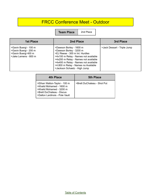## FRCC Conference Meet - Outdoor

**Team Place** 2nd Place

| <b>1st Place</b>                                                                              | 2nd Place                                                                                                                                                                                                                                                                           | 3rd Place                   |
|-----------------------------------------------------------------------------------------------|-------------------------------------------------------------------------------------------------------------------------------------------------------------------------------------------------------------------------------------------------------------------------------------|-----------------------------|
| >Gavin Buergi - 100 m<br>>Gavin Buergi - 200 m<br>>Gavin Buergi 400 m<br>>Jake Lemens - 800 m | >Dawson Borley - 1600 m<br>>Dawson Borley - 3200 m<br>>EJ Reese - 300 m Int. Hurdles<br>>4x100 m Relay - Names not available<br>>4x200 m Relay - Names not available<br>>4x400 m Relay - Names not available<br>>4.800 m Relay - Names no Available<br>>Jackson Schaetz - High Jump | >Jack Dessart - Triple Jump |

| 4th Place                                                                                                                                           | <b>5th Place</b>            |
|-----------------------------------------------------------------------------------------------------------------------------------------------------|-----------------------------|
| >Ethan Walton-Taylor - 100 m<br>>Khalid Mohamed - 1600 m<br>>Khalid Mohamed - 3200 m<br>>Brett DuChateau - Discus<br>>Dalton Lardinois - Pole Vault | >Brett DuChateau - Shot Put |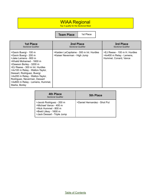#### WIAA Regional

Top 4 qualify for the Sectional Meet

**Team Place** 1st Place

| <b>1st Place</b>                                                                                                                                                                                                                                                                                                                                          | 2nd Place                                                                | 3rd Place                                                                         |
|-----------------------------------------------------------------------------------------------------------------------------------------------------------------------------------------------------------------------------------------------------------------------------------------------------------------------------------------------------------|--------------------------------------------------------------------------|-----------------------------------------------------------------------------------|
| <b>Sectional Qualifier</b>                                                                                                                                                                                                                                                                                                                                | <b>Sectional Qualifier</b>                                               | <b>Sectional Qualifier</b>                                                        |
| >Gavin Buergi - 100 m<br>>Gavin Buergi - 200 m<br>>Jake Lemens - 800 m<br>>Khalid Mohamed - 1600 m<br>>Dawson Borley - 3200 m<br>>EJ Reese - 300 m Int. Hurdles<br>>4x100 m Relay - Walton-Taylor,<br>Dessart, Rodriguez, Buergi<br>>4x200 m Relay - Walton-Taylor,<br>Rodriguez, Neverman, Dessart<br>>4x800 m Relay - Lemens, Hummel,<br>Starks, Borley | >Kaiden LeCapitaine - 300 m Int. Hurdles<br>>Kaiser Neverman - High Jump | >EJ Reese - 100 m H. Hurdles<br>>4x400 m Relay - Lemens,<br>Hummel, Conard, Vance |

| 4th Place<br><b>Sectional Qualifier</b>                                                                                             | <b>5th Place</b>             |
|-------------------------------------------------------------------------------------------------------------------------------------|------------------------------|
| >Jacob Rodriguez - 200 m<br>>Michael Vance - 400 m<br>>Nick Hummel - 800 m<br>>Brett Litkey - 1600 m<br>>Jack Dessart - Triple Jump | >Daniel Hernandez - Shot Put |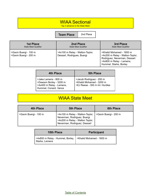## WIAA Sectional

Top 3 advance to the State Meet

**Team Place** 2nd Place

| <b>1st Place</b>                               | 2nd Place                                                     | 3rd Place                                                                                                                                         |
|------------------------------------------------|---------------------------------------------------------------|---------------------------------------------------------------------------------------------------------------------------------------------------|
| <b>State Meet Qualifier</b>                    | <b>State Meet Qualifier</b>                                   | <b>State Meet Qualifier</b>                                                                                                                       |
| >Gavin Buergi - 100 m<br>>Gavin Buergi - 200 m | >4x100 m Relay - Walton-Taylor,<br>Dessart, Rodrigues, Buergi | >Khalid Mohamed - 1600 m<br>>4x200 m Relay - Walton-Taylor,<br>Rodriguez, Neverman, Dessart<br>>4x800 m Relay - Lemens,<br>Hummel, Starks, Borley |

| 4th Place                                                                                            | <b>5th Place</b>                                                                       |
|------------------------------------------------------------------------------------------------------|----------------------------------------------------------------------------------------|
| >Jake Lemens - 800 m<br>>Dawson Borley - 3200 m<br>>4x400 m Relay - Lemens,<br>Hummel, Conard, Vance | >Jacob Rodriguez - 200 m<br>>Khalid Mohamed - 3200 m<br>>EJ Reese - 300 m Int. Hurdles |

## WIAA State Meet

| 4th Place             | <b>5th Place</b>                                                                                                                  | <b>6th Place</b>      |
|-----------------------|-----------------------------------------------------------------------------------------------------------------------------------|-----------------------|
| >Gavin Buergi - 100 m | >4x100 m Relay - Walton-Taylor,<br>Neverman, Rodriguez, Buergi<br>>4x200 m Relay - Walton Taylor,<br>Neverman, Rodriguez, Dessart | >Gavin Buergi - 200 m |

| <b>10th Place</b>                                                             | <b>Participant</b> |
|-------------------------------------------------------------------------------|--------------------|
| >4x800 m Relay - Hummel, Borley,   >Khalid Mohamed - 1600 m<br>Starks, Lemens |                    |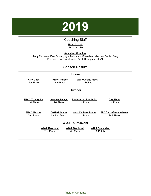

#### Coaching Staff

#### **Head Coach** Nick Marcelle

<span id="page-52-0"></span>**Assistant Coaches** Andy Fameree, Paul Donart, Kyle McMahan, Steve Marcelle, Jon Doble, Greg Pierquet, Brad Boockmeier, Scott Kreuger, Josh Zill

#### Season Results

| <b>Indoor</b>          |                       |                            |                             |  |
|------------------------|-----------------------|----------------------------|-----------------------------|--|
| <b>City Meet</b>       | <b>Ripen Indoor</b>   | <b>W/TFA State Meet</b>    |                             |  |
| 1st Place              | 2nd Place             | 2 Points                   |                             |  |
| <b>Outdoor</b>         |                       |                            |                             |  |
| <b>FRCC Triangular</b> | <b>Leadley Relays</b> | <b>Shebovgan South Tri</b> | <b>City Meet</b>            |  |
| 1st Place              | 1st Place             | 1st Place                  | 1st Place                   |  |
| <b>FRCC Relays</b>     | <b>DeMerit Invite</b> | <b>West De Pere Invite</b> | <b>FRCC Conference Meet</b> |  |
| 2nd Place              | Limited Team          | 1st Place                  | 2nd Place                   |  |
| <b>WIAA Tournament</b> |                       |                            |                             |  |
|                        | <b>WIAA Regional</b>  | <b>WIAA Sectional</b>      | <b>WIAA State Meet</b>      |  |
|                        | 2nd Place             | 4th Place                  | 8 Points                    |  |

Table of [Contents](#page-1-0)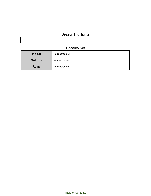#### Season Highlights

#### Records Set

| <b>Indoor</b>  | No records set |
|----------------|----------------|
| <b>Outdoor</b> | No records set |
| <b>Relay</b>   | No records set |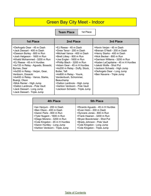## Green Bay City Meet - Indoor

**Team Place** | 1st Place

| <b>1st Place</b>                                                                                                                                                                                                                                                                                                                                                                                                                                                               | 2nd Place                                                                                                                                                                                                                                                                                                                                                                                                                      | 3rd Place                                                                                                                                                                                                                                                                                                           |
|--------------------------------------------------------------------------------------------------------------------------------------------------------------------------------------------------------------------------------------------------------------------------------------------------------------------------------------------------------------------------------------------------------------------------------------------------------------------------------|--------------------------------------------------------------------------------------------------------------------------------------------------------------------------------------------------------------------------------------------------------------------------------------------------------------------------------------------------------------------------------------------------------------------------------|---------------------------------------------------------------------------------------------------------------------------------------------------------------------------------------------------------------------------------------------------------------------------------------------------------------------|
| >DeAngelo Dear - 45 m Dash<br>>Jack Dessart - 400 m Dash<br>>Dawson Borley - 800 m Run<br>>Josh Helgeson - 1600 m Run<br>>Khalid Mohammed - 3200 m Run<br>>EJ Reese - 45 m H Hurdles<br>>4x133 m Relay - Aguado, Bosacki,<br>Byrnes, Dear<br>>4x200 m Relay - Verjan, Gear,<br>Verdoorn, Dosacki<br>>4x400 m Relay - Vance, Starks,<br>Buergi, Olson<br>>Mick Renier - High Jump<br>>Dalton Lardinois - Pole Vault<br>>Jack Dessart - Long Jump<br>>Jack Dessart - Triple Jump | >EJ Reese - 45 m Dash<br>>Drew Tenor - 200 m Dash<br>>Michael Vance - 400 m Dash<br>>Brett Litkey - 800 m Run<br>>Joe Engler - 1600 m Run<br>>Phillip Blach - 3200 m Run<br>>Adam Gear - 45 m H Hurdles<br>>4x200 m Relay - Duffy, Stock,<br>Butler, Taft<br>>4x800 m Relay - Younk,<br>Vandenbush, Schommer,<br>Beauchamp<br>>Dalton Lardinois - High Jump<br>>Ashton Verdoorn - Pole Vault<br>>Jackson Schaetz - Triple Jump | >Kevin Verjan - 45 m Dash<br>>Brenan O'Neill - 200 m Dash<br>>Henry Starks - 400 m Dash<br>>Nick Becker - 800 m Run<br>>Garrison Willems - 3200 m Run<br>>Kaden LeCapitaine - 45 m H Hurdles<br>>Jakob Wolfe - Shot Put<br>>Jackson Schaetz - High Jump<br>>DeAngelo Dear - Long Jump<br>>Ben Navarre - Triple Jump |

| <b>4th Place</b>                | <b>5th Place</b>                 |
|---------------------------------|----------------------------------|
| >lan Henjum - 200 m Dash        | >Ricardo Aguado - 45 m H Hurdles |
| >Ben Olson - 400 m Dash         | >Evan Holm - 200 m Dash          |
| >Aaron Paris - 800 m Run        | >Syncere Jones - 800 m Run       |
| >Tyler Nugent - 1600 m Run      | >Frank Haanen - 3200 m Run       |
| >Diego Moreno - 3200 m Run      | >Bryan Boockmeier - Shot Put     |
| >Cole Kingston - 45 m H Hurdles | >Brady Johnson - Pole Vault      |
| >Aaron Huntley - Long Jump      | >Cole Kingston - Long Jump       |
| >Ashton Verdoorn - Triple Jump  | >Cole Kingston - Triple Jump     |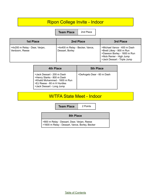## Ripon College Invite - Indoor

**Team Place** 2nd Place

| <b>1st Place</b>                                  | 2nd Place                                          | 3rd Place                                                                                                                                          |
|---------------------------------------------------|----------------------------------------------------|----------------------------------------------------------------------------------------------------------------------------------------------------|
| >4x200 m Relay - Dear, Verjan,<br>Verdoorn, Reese | >4x400 m Relay - Becker, Vance,<br>Dessart, Borley | >Michael Vance - 400 m Dash<br>>Brett Litkey - 800 m Run<br>>Dawson Borley - 1600 m Run<br>>Nick Renier - High Jump<br>>Jack Dessart - Triple Jump |

| <b>4th Place</b>                                                                                                                                     | <b>5th Place</b>           |
|------------------------------------------------------------------------------------------------------------------------------------------------------|----------------------------|
| >Jack Dessart - 200 m Dash<br>>Henry Starks - 800 m Dash<br>>Khalid Mohammed - 1600 m Run<br>>EJ Reese - 60 m H Hurdles<br>>Jack Dessart - Long Jump | >DeAngelo Dear - 60 m Dash |

#### W/TFA State Meet - Indoor

**Team Place** 2 Points

| 8th Place                                                                                     |  |
|-----------------------------------------------------------------------------------------------|--|
| >800 m Relay - Dessart, Dear, Verjan, Reese<br>>1600 m Relay - Dessart, Vance, Borley, Becker |  |

Table of [Contents](#page-1-0)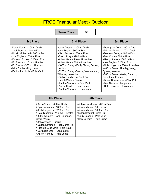## FRCC Triangular Meet - Outdoor

**Team Place** 1st

| <b>1st Place</b>                                                                                                                                                                                                                                                               | 2nd Place                                                                                                                                                                                                                                                                                                                                                                                                                                                 | 3rd Place                                                                                                                                                                                                                                                                                                                                                                                                             |
|--------------------------------------------------------------------------------------------------------------------------------------------------------------------------------------------------------------------------------------------------------------------------------|-----------------------------------------------------------------------------------------------------------------------------------------------------------------------------------------------------------------------------------------------------------------------------------------------------------------------------------------------------------------------------------------------------------------------------------------------------------|-----------------------------------------------------------------------------------------------------------------------------------------------------------------------------------------------------------------------------------------------------------------------------------------------------------------------------------------------------------------------------------------------------------------------|
| >Kevin Verjan - 200 m Dash<br>>Jack Dessart - 400 m Dash<br>>Khalid Mohamed - 800 m Run<br>>Joe Engler - 1600 m Run<br>>Dawson Borley - 3200 m Run<br>>EJ Reese - 110 m H Hurdles<br>>EJ Reese - 300 m I Hurdles<br>>Nick Renier - High Jump<br>>Dalton Lardinois - Pole Vault | >Jack Dessart - 200 m Dash<br>>Joe Engler - 800 m Run<br>>Nick Becker - 1600 m Run<br>>Brett Litkey - 3200 m Run<br>>Adam Gear - 110 m H Hurdles<br>>Adam Gear - 300 m I Hurdles<br>>1600 m Relay - Duffy, Tenor, Becker,<br>Henjum<br>>3200 m Relay - Vance, Vandenbush,<br>Willems, Hesselink<br>>Dalton Lardinois - Shot Put<br>>Jakob Wolfe - Discus<br>>Ashton Verdoorn - Pole Vault<br>>Aaron Huntley - Long Jump<br>>Ashton Verdoorn - Triple Jump | >DeAngelo Dear - 100 m Dash<br>>Michael Vance - 200 m Dash<br>>Dawson Borley - 400 m Dash<br>>Ben Olson - 800 m Run<br>>Henry Starks - 1600 m Run<br>>Joe Engler - 3200 m Run<br>>Cole Kingston - 300 m I Hurdles<br>>400 m Relay - Huntley, Yang,<br>Byrnes, Wanner<br>>800 m Relay - Wolfe, Cannon,<br>Gomoluch, Franco<br>>Bryan Boockmeier - Shot Put<br>>Ben Navarre - Long Jump<br>>Cole Kingston - Triple Jump |

| 4th Place                                                                                                                                                                                                                                                                                                                                          | <b>5th Place</b>                                                                                                                                                                 |
|----------------------------------------------------------------------------------------------------------------------------------------------------------------------------------------------------------------------------------------------------------------------------------------------------------------------------------------------------|----------------------------------------------------------------------------------------------------------------------------------------------------------------------------------|
| >Kevin Verjan - 400 m Dash<br>>Syncere Jones - 1600 m Run<br>>Josh Helgeson - 3200 m Run<br>>Cole Kingston - 110 m H Hurdles<br>>3200 m Relay - Foral, Johnson,<br>Schill, Younk<br>>Jake Jensen - Discus<br>>Dalton Lardinois - High Jump (tie)<br>>Ricardo Lugo-Ortiz - Pole Vault<br>>DeAngelo Dear - Long Jump<br>>Aaron Huntley - Triple Jump | >Ashton Verdoorn - 200 m Dash<br>>Aaron Minino - 800 m Run<br>>Aaron Minino - 1600 m Run<br>>Dylan Brodahl - Shot Put<br>>Cody Lesage - Pole Vault<br>>Ben Navarre - Triple Jump |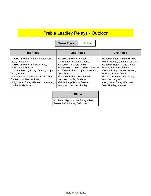## Preble Leadley Relays - Outdoor

**Team Place** | 1st Place

| 1st Place                                                                                                                                                                                                                                                                                                       | 2nd Place                                                                                                                                                                                                                                                                                                       | 3rd Place                                                                                                                                                                                                                                                                                                   |
|-----------------------------------------------------------------------------------------------------------------------------------------------------------------------------------------------------------------------------------------------------------------------------------------------------------------|-----------------------------------------------------------------------------------------------------------------------------------------------------------------------------------------------------------------------------------------------------------------------------------------------------------------|-------------------------------------------------------------------------------------------------------------------------------------------------------------------------------------------------------------------------------------------------------------------------------------------------------------|
| >4x200 m Relay - Verjan, Neverman,<br>Dear, Dessart y<br>>4x800 m Relay - Borley, Starks,<br>Mohammed, Becker<br>>1600 m Medley Relay - Vance, Verjan,<br>Dear, Borley<br>>Distance Medley Relay - Starks, Nate<br>Becker, Nick Becker, Litkey<br>>High Jump Relay - Renier, Neverman,<br>Lardinois, Gullstrand | >4x1600 m Relay - Engler,<br>Mohammed, Helgeson, Jones<br>>4x100 m Throwers Relay -<br>Boockmeier, Lardinois, Wolfe, Jensen<br>>4x100 m Relay - Verjan, Neverman,<br>Dear, Dessart<br>>Shot Put Relay - Boockmeier,<br>Lardinois, Wolfe, Brodaho<br>>Triple Jump Relay - Dessart,<br>Verdoorn, Navarre, Huntley | >3x300 m Intermediate Hurdles<br>Relay - Reese, Gear, LeCapitaine<br>>4x400 m Relay - Vance, Nate<br>Becker, Verdoorn, Buergi<br>>Discus Relay - Wolfe, Jensen,<br>Brodahl, Sampo-Tejeda<br>>Pole Vault Relay - Lardinois,<br>Verdoorn, Lugo-Ortiz<br>>Long Jump Relay - Dessart,<br>Dear, Huntley, Navarre |

#### **4th Place**

>4x110 m High Hurdles Relay - Gear, Reese, LeCapitaine, DeBraske

Table of [Contents](#page-1-0)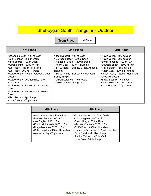## Sheboygan South Triangular - Outdoor

**Team Place** 1st Place

| <b>1st Place</b>                                                                                                                                                                                                                                                                                                                                                                                                                                           | 2nd Place                                                                                                                                                                                                                                                                                               | 3rd Place                                                                                                                                                                                                                                                                                                                             |
|------------------------------------------------------------------------------------------------------------------------------------------------------------------------------------------------------------------------------------------------------------------------------------------------------------------------------------------------------------------------------------------------------------------------------------------------------------|---------------------------------------------------------------------------------------------------------------------------------------------------------------------------------------------------------------------------------------------------------------------------------------------------------|---------------------------------------------------------------------------------------------------------------------------------------------------------------------------------------------------------------------------------------------------------------------------------------------------------------------------------------|
| >DeAngelo Dear - 100 m Dash<br>>Jack Dessart - 200 m Dash<br>>Nick Becker - 400 m Dash<br>>Aaron Minino - 3200 m Run<br>>EJ Reese - 110 m H Hurdles<br>>EJ Reese - 300 m   Hurdles<br>>4x100 Relay - Verjan, Verdoorn, Dear,<br>Dessart<br>>4x200 Relay - LeCapitaine, Tenor,<br>Kane, Yang<br>>4x400 Relay - Becker, Starks, Vance,<br>Olson<br>>4x800 Relay - Vance, Litkey, Minino,<br>Olson<br>>Nick Renier - High Jump<br>>Jack Dessart - Triple Jump | >Jack Dessart - 100 m Dash<br>>DeAngelo Dear - 200 m Dash<br>>Nathaniel Becker - 400 m Dash<br>>Adam Gear - 110 m H Hurdles<br>>4x100 Relay - Byrnes, O'Neil, Aguado,<br>Henjum<br>>4x800 Relay - Becker, Vandenbush,<br>Borley, Engler<br>>Dalton Lardinois - Pole Vault<br>>Cole Kingston - Long Jump | >Kevin Verjan - 100 m Dash<br>>Kevin Verjan - 200 m Dash<br>>Syncere Jones - 800 m Run<br>>Dawson Borley - 1600 m Run<br>>Phillip Balch - 1600 m Run<br>>Adam Gear - 300 m I Hurdles<br>>4x800 Relay - Starks, Mohamed,<br>Jones, Helgeson<br>>Brady Bosacki - High Jum<br>>DeAngelo Dear - Long Jump<br>>Cole Kingston - Triple Jump |

| 4th Place                                                                                                                                                                                                                 | <b>5th Place</b>                                                                                                                                                                                                                                                                                   |
|---------------------------------------------------------------------------------------------------------------------------------------------------------------------------------------------------------------------------|----------------------------------------------------------------------------------------------------------------------------------------------------------------------------------------------------------------------------------------------------------------------------------------------------|
| >Ashton Verdoorn - 100 m Dash<br>>Dawson Borley - 400 m Dash<br>>Joe Engler - 800 m Run<br>>Khalid Mohamed - 1600 m Run<br>>Diego Moreno - 3200 m Run<br>>Cole Kingston - 110 m H Hurdles<br>>Aaron Hurtley - Triple Jump | >Ashton Verdoorn - 200 m Dash<br>>Josh Helgeson - 800 m Run<br>>Brett Litkey - 1600 m Run<br>>Michael Kreuser - 3200 m Run<br>>Eli DeBraski - 300 m I Hurdles<br>>Kaden LeCapitaine - 110 m H Hurdles<br>>Cole Gullstrand - High Jump<br>>Ashton Verdoorn - Pole Vault<br>>Jose Soto - Triple Jump |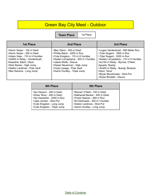## Green Bay City Meet - Outdoor

**Team Place** | 1st Place

| <b>1st Place</b>                                                                                                                                                                                                                              | 2nd Place                                                                                                                                                                                                                                                | 3rd Place                                                                                                                                                                                                                                                                                                    |
|-----------------------------------------------------------------------------------------------------------------------------------------------------------------------------------------------------------------------------------------------|----------------------------------------------------------------------------------------------------------------------------------------------------------------------------------------------------------------------------------------------------------|--------------------------------------------------------------------------------------------------------------------------------------------------------------------------------------------------------------------------------------------------------------------------------------------------------------|
| >Kevin Verjan - 100 m Dash<br>>Kevin Verjan - 200 m Dash<br>>Adam Gear - 110 m H Hurdles<br>>4x800 m Relay - Vandenbush,<br>Hesselink, Balch, Olson<br>>Nick Renier - High Jump<br>>Dalton Lardinois - Pole Vault<br>>Ben Navarre - Long Jump | >Ben Olson - 400 m Dash<br>>Phillip Balch - 3200 m Run<br>>Cole Kingston - 110 m H Hurdles<br>>Kaden LeCaptiaine - 300 m I Hurdles<br>>Jakob Wolfe - Discus<br>>Kaiser Neverman - High Jump<br>>Cody Lesage - Pole Vault<br>>Aaron Huntley - Triple Jump | >Logan Vandenbush - 800 Meter Run<br>>Tyler Nugent - 1600 m Run<br>>Tyler Nugent - 3200 m Run<br>>Kaden LeCapitaine - 110 m H Hurdles<br>>4x100 m Relay - Byrnes, O'Neill,<br>Aguado, Buergi<br>>4x400 m Relay - Buergi, Bosacki,<br>Olson, Tenor<br>>Bryan Boockmeier - Shot Put<br>>Dylan Brodahl - Discus |

| <b>4th Place</b>             | <b>5th Place</b>                |
|------------------------------|---------------------------------|
| >lan Henjum - 200 m Dash     | >Brenan O'Neill - 100 m Dash    |
| >Drew Tenor - 400 m Dash     | >Nathaniel Becker - 400 m Dash  |
| >lan Hesselink - 3200 m Run  | >Frank Haanen - 800 m Run       |
| >Jake Jensen - Shot Put      | >Eli DeGraske - 300 m I Hurdles |
| >Cole Kingston - Long Jump   | >Dalton Lardinois - Shot Put    |
| >Cole Kingston - Triple Jump | >Aaron Huntley - Long Jump      |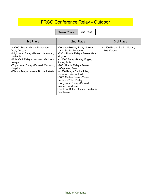## FRCC Conference Relay - Outdoor

**Team Place** 2nd Place

| <b>1st Place</b>                                                                                                                                                                                                                                              | 2nd Place                                                                                                                                                                                                                                                                                                                                                                                                                                              | 3rd Place                                          |
|---------------------------------------------------------------------------------------------------------------------------------------------------------------------------------------------------------------------------------------------------------------|--------------------------------------------------------------------------------------------------------------------------------------------------------------------------------------------------------------------------------------------------------------------------------------------------------------------------------------------------------------------------------------------------------------------------------------------------------|----------------------------------------------------|
| >4x200 Relay - Verjan, Neverman,<br>Dear, Dessart<br>>High Jump Relay - Renier, Neverman,<br>Lardinois<br>>Pole Vault Relay - Lardinois, Verdoorn,<br>Lesage<br>>Triple Jump Relay - Dessart, Verdoorn,<br>Kingston<br>>Discus Relay - Jensen, Brodahl, Wolfe | >Distance Medley Relay - Litkey,<br>Losin, Starks, Mohamed<br>>330 H Hurdle Relay - Reese, Gear,<br>Kingston<br>>4x1600 Relay - Borley, Engler,<br>Jones, Paris<br>>900 I Hurdle Relay - Reese,<br>LeCaptaine, Gear<br>>4x800 Relay - Starks, Litkey,<br>Mohamed, Vandenbush<br>>1600 Medley Relay - Vance,<br>Henjum, O'Neil, Borley<br>>Long Jump Relay - Dessart,<br>Navarre, Verdoorn<br>>Shot Put Relay - Jensen, Lardinois,<br><b>Boockmeier</b> | >4x400 Relay - Starks, Verjan,<br>Litkey, Verdoorn |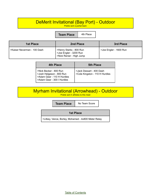#### DeMerit Invitational (Bay Port) - Outdoor

Preble sent a partial team

**Team Place** 4th Place

| <b>1st Place</b>            | 2nd Place                                                                     | 3rd Place              |
|-----------------------------|-------------------------------------------------------------------------------|------------------------|
| >Kaiser Neverman - 100 Dash | >Henry Starks - 800 Run<br>>Joe Engler - 3200 Run<br>>Nick Renier - High Jump | >Joe Engler - 1600 Run |

| 4th Place                                                                                                      | <b>5th Place</b>                                           |
|----------------------------------------------------------------------------------------------------------------|------------------------------------------------------------|
| >Nick Becker - 800 Run<br>>Josh Helgeson - 800 Run<br>>Adam Gear - 110 H Hurdles<br>>Adam Gear - 300 I Hurdles | >Jack Dessart - 400 Dash<br>>Cole Kingston - 110 H Hurdles |

Myrham Invitational (Arrowhead) - Outdoor

Preble sent 4 athletes to this meet

**Team Place** | No Team Score

**1st Place**

>Litkey, Vance, Borley, Mohamed - 4x800 Meter Relay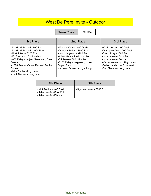## West De Pere Invite - Outdoor

**Team Place** | 1st Place

| <b>1st Place</b>                                                                                                                                                                                                                                                                       | 2nd Place                                                                                                                                                                                                                         | 3rd Place                                                                                                                                                                                                                           |
|----------------------------------------------------------------------------------------------------------------------------------------------------------------------------------------------------------------------------------------------------------------------------------------|-----------------------------------------------------------------------------------------------------------------------------------------------------------------------------------------------------------------------------------|-------------------------------------------------------------------------------------------------------------------------------------------------------------------------------------------------------------------------------------|
| >Khalid Mohamed - 800 Run<br>>Khalid Mohamed - 1600 Run<br>>Brett Litkey - 3200 Run<br>>EJ Reese - 110 H Hurdles<br>>800 Relay - Verjan, Neverman, Dear,<br>Dessart<br>>1600 Relay - Vance, Dessart, Becker,<br><b>Borley</b><br>>Nick Renier - High Jump<br>>Jack Dessart - Long Jump | >Michael Vance - 400 Dash<br>>Dawson Borley - 1600 Run<br>>Josh Helgeson - 3200 Run<br>>Adam Gear - 110 H Hurdles<br>>EJ Reese - 300 I Hurdles<br>>3200 Relay - Helgeson, Jones,<br>Engler, Paris<br>>Jackson Schaetz - High Jump | >Kevin Verjan - 100 Dash<br>>DeAngelo Dear - 200 Dash<br>>Brett Litkey - 1600 Run<br>>Jake Jensen - Shot Put<br>>Jake Jensen - Discus<br>>Kaiser Neverman - High Jump<br>>Dalton Lardinois - Pole Vault<br>>Ben Navarre - Long Jump |

| 4th Place                                                                   | <b>5th Place</b>          |
|-----------------------------------------------------------------------------|---------------------------|
| >Nick Becker - 400 Dash<br>>Jakob Wolfe - Shot Put<br>>Jakob Wolfe - Discus | >Syncere Jones - 3200 Run |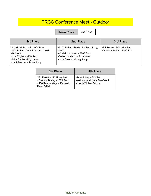## FRCC Conference Meet - Outdoor

**Team Place** 2nd Place

| <b>1st Place</b>                                                                                                                                                   | 2nd Place                                                                                                                                   | 3rd Place                                              |
|--------------------------------------------------------------------------------------------------------------------------------------------------------------------|---------------------------------------------------------------------------------------------------------------------------------------------|--------------------------------------------------------|
| >Khalid Mohamed - 1600 Run<br>>800 Relay - Dear, Dessart, O'Neil,<br>Verdoorn<br>>Joe Engler - 3200 Run<br>>Nick Renier - High Jump<br>>Jack Dessart - Triple Jump | >3200 Relay - Starks, Becker, Litkey,<br>Vance<br>>Khalid Mohamed - 3200 Run<br>>Dalton Lardinois - Pole Vault<br>>Jack Dessart - Long Jump | >EJ Reese - 300 I Hurdles<br>>Dawson Borley - 3200 Run |

| 4th Place                                                                                               | <b>5th Place</b>                                                                  |
|---------------------------------------------------------------------------------------------------------|-----------------------------------------------------------------------------------|
| >EJ Reese - 110 H Hurdles<br>>Dawson Borley - 1600 Run<br>>400 Relay - Verjan, Dessart,<br>Dear, O'Neil | >Brett Litkey - 800 Run<br>>Ashton Verdoorn - Pole Vault<br>>Jakob Wolfe - Discus |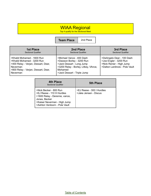#### WIAA Regional

Top 4 qualify for the Sectional Meet

**Team Place** 2nd Place

| <b>1st Place</b>                                                                                                                                               | 2nd Place                                                                                                                                                             | 3rd Place                                                                                                         |
|----------------------------------------------------------------------------------------------------------------------------------------------------------------|-----------------------------------------------------------------------------------------------------------------------------------------------------------------------|-------------------------------------------------------------------------------------------------------------------|
| Sectional Qualifier                                                                                                                                            | Sectional Qualifier                                                                                                                                                   | Sectional Qualifier                                                                                               |
| >Khalid Mohamed - 1600 Run<br>>Khalid Mohamed - 3200 Run<br>>400 Relay - Verjan, Dessart, Dear,<br>Neverman<br>>800 Relay - Verjan, Dessart, Dear,<br>Neverman | >Michael Vance - 400 Dash<br>>Dawson Borley - 3200 Run<br>>Jack Dessart - Long Jump<br>>3200 Relay - Borley, Litkey, VAnce,<br>Mohamed<br>>Jack Dessart - Triple Jump | >DeAngelo Dear - 100 Dash<br>>Joe Engler - 3200 Run<br>>Nick Renier - High Jump<br>>Dalton Lardinois - Pole Vault |

| <b>4th Place</b><br><b>Sectional Qualifier</b>                                                                                                                         | <b>5th Place</b>                                   |
|------------------------------------------------------------------------------------------------------------------------------------------------------------------------|----------------------------------------------------|
| >Nick Becker - 800 Run<br>>EJ Reese - 110 H Hurdles<br>>1600 Relay - Derenne, vance,<br>Jones, Becker<br>>Kaiser Neverman - High Jump<br>>Ashton Verdoorn - Pole Vault | >EJ Reese - 300   Hurdles<br>>Jake Jensen - Discus |